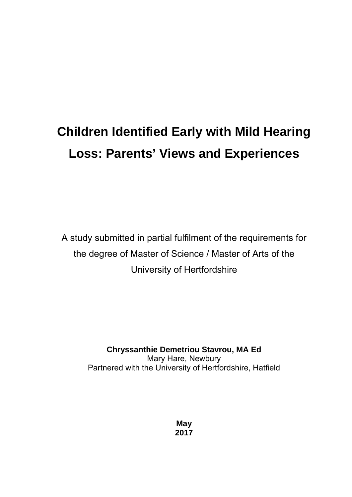# **Children Identified Early with Mild Hearing Loss: Parents' Views and Experiences**

A study submitted in partial fulfilment of the requirements for the degree of Master of Science / Master of Arts of the University of Hertfordshire

> **Chryssanthie Demetriou Stavrou, MA Ed**  Mary Hare, Newbury Partnered with the University of Hertfordshire, Hatfield

> > **May 2017**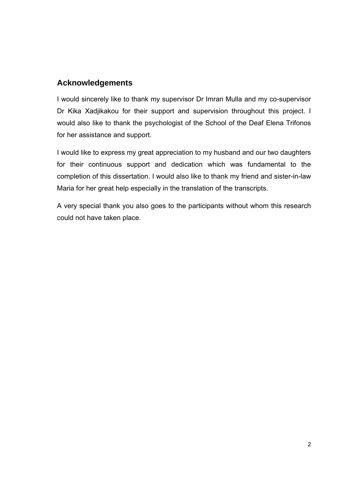# **Acknowledgements**

I would sincerely like to thank my supervisor Dr Imran Mulla and my co-supervisor Dr Kika Xadjikakou for their support and supervision throughout this project. I would also like to thank the psychologist of the School of the Deaf Elena Trifonos for her assistance and support.

I would like to express my great appreciation to my husband and our two daughters for their continuous support and dedication which was fundamental to the completion of this dissertation. I would also like to thank my friend and sister-in-law Maria for her great help especially in the translation of the transcripts.

A very special thank you also goes to the participants without whom this research could not have taken place.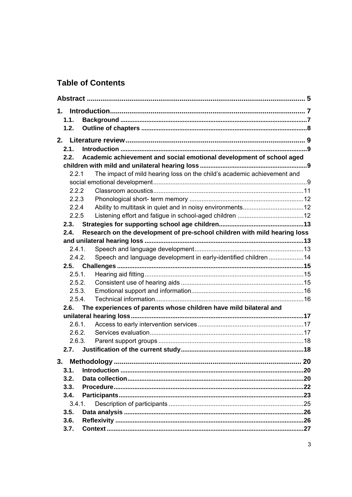# **Table of Contents**

| 1.1.   |                                                                           |  |
|--------|---------------------------------------------------------------------------|--|
| 1.2.   |                                                                           |  |
|        |                                                                           |  |
| 2.1.   |                                                                           |  |
| 2.2.   | Academic achievement and social emotional development of school aged      |  |
|        |                                                                           |  |
| 221    | The impact of mild hearing loss on the child's academic achievement and   |  |
|        |                                                                           |  |
| 2.2.2  |                                                                           |  |
| 2.2.3  |                                                                           |  |
| 2.2.4  |                                                                           |  |
| 2.2.5  |                                                                           |  |
| 2.3.   |                                                                           |  |
| 2.4.   | Research on the development of pre-school children with mild hearing loss |  |
| 2.4.1. |                                                                           |  |
| 2.4.2. | Speech and language development in early-identified children 14           |  |
|        |                                                                           |  |
|        | 2.5.1.                                                                    |  |
| 2.5.2. |                                                                           |  |
|        | 2.5.3.                                                                    |  |
| 2.5.4. |                                                                           |  |
| 2.6.   | The experiences of parents whose children have mild bilateral and         |  |
|        |                                                                           |  |
| 2.6.1  |                                                                           |  |
| 2.6.2. |                                                                           |  |
|        | 2.6.3.                                                                    |  |
| 2.7.   |                                                                           |  |
|        |                                                                           |  |
| 3.1.   |                                                                           |  |
| 3.2.   |                                                                           |  |
| 3.3.   |                                                                           |  |
| 3.4.   |                                                                           |  |
| 3.4.1. |                                                                           |  |
| 3.5.   |                                                                           |  |
| 3.6.   |                                                                           |  |
| 3.7.   |                                                                           |  |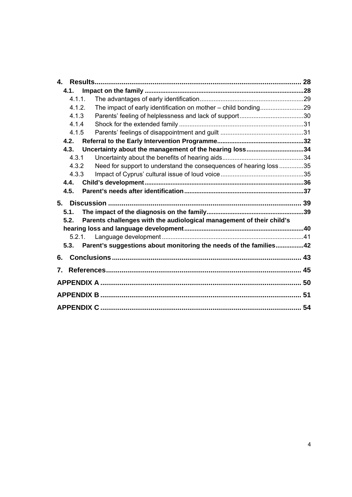| 4.     |                                                                      |  |
|--------|----------------------------------------------------------------------|--|
| 4.1.   |                                                                      |  |
| 4.1.1. |                                                                      |  |
| 4.1.2. |                                                                      |  |
| 4.1.3  |                                                                      |  |
| 4.1.4  |                                                                      |  |
| 4.1.5  |                                                                      |  |
| 4.2.   |                                                                      |  |
| 4.3.   | Uncertainty about the management of the hearing loss34               |  |
| 4.3.1  |                                                                      |  |
| 4.3.2  | Need for support to understand the consequences of hearing loss35    |  |
| 4.3.3  |                                                                      |  |
| 4.4.   |                                                                      |  |
| 4.5.   |                                                                      |  |
|        |                                                                      |  |
| 5.     |                                                                      |  |
| 5.1.   |                                                                      |  |
| 5.2.   | Parents challenges with the audiological management of their child's |  |
|        |                                                                      |  |
|        | 5.2.1                                                                |  |
| 5.3.   | Parent's suggestions about monitoring the needs of the families42    |  |
| 6.     |                                                                      |  |
| 7.     |                                                                      |  |
|        |                                                                      |  |
|        |                                                                      |  |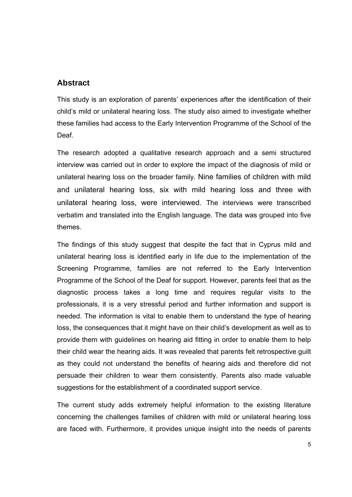### **Abstract**

This study is an exploration of parents' experiences after the identification of their child's mild or unilateral hearing loss. The study also aimed to investigate whether these families had access to the Early Intervention Programme of the School of the Deaf.

The research adopted a qualitative research approach and a semi structured interview was carried out in order to explore the impact of the diagnosis of mild or unilateral hearing loss on the broader family. Nine families of children with mild and unilateral hearing loss, six with mild hearing loss and three with unilateral hearing loss, were interviewed. The interviews were transcribed verbatim and translated into the English language. The data was grouped into five themes.

The findings of this study suggest that despite the fact that in Cyprus mild and unilateral hearing loss is identified early in life due to the implementation of the Screening Programme, families are not referred to the Early Intervention Programme of the School of the Deaf for support. However, parents feel that as the diagnostic process takes a long time and requires regular visits to the professionals, it is a very stressful period and further information and support is needed. The information is vital to enable them to understand the type of hearing loss, the consequences that it might have on their child's development as well as to provide them with guidelines on hearing aid fitting in order to enable them to help their child wear the hearing aids. It was revealed that parents felt retrospective guilt as they could not understand the benefits of hearing aids and therefore did not persuade their children to wear them consistently. Parents also made valuable suggestions for the establishment of a coordinated support service.

The current study adds extremely helpful information to the existing literature concerning the challenges families of children with mild or unilateral hearing loss are faced with. Furthermore, it provides unique insight into the needs of parents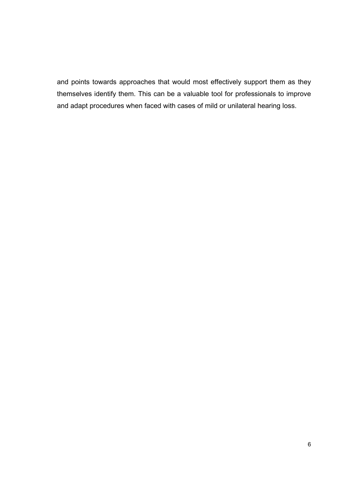and points towards approaches that would most effectively support them as they themselves identify them. This can be a valuable tool for professionals to improve and adapt procedures when faced with cases of mild or unilateral hearing loss.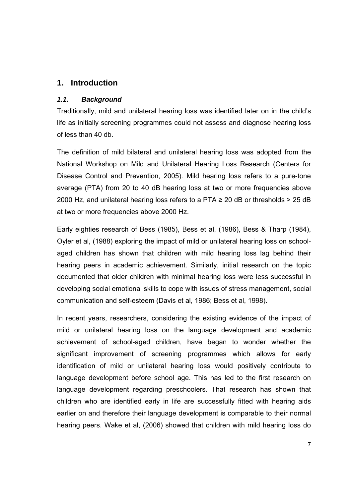# **1. Introduction**

#### *1.1. Background*

Traditionally, mild and unilateral hearing loss was identified later on in the child's life as initially screening programmes could not assess and diagnose hearing loss of less than 40 db.

The definition of mild bilateral and unilateral hearing loss was adopted from the National Workshop on Mild and Unilateral Hearing Loss Research (Centers for Disease Control and Prevention, 2005). Mild hearing loss refers to a pure-tone average (PTA) from 20 to 40 dB hearing loss at two or more frequencies above 2000 Hz, and unilateral hearing loss refers to a PTA  $\geq$  20 dB or thresholds  $>$  25 dB at two or more frequencies above 2000 Hz.

Early eighties research of Bess (1985), Bess et al, (1986), Bess & Tharp (1984), Oyler et al, (1988) exploring the impact of mild or unilateral hearing loss on schoolaged children has shown that children with mild hearing loss lag behind their hearing peers in academic achievement. Similarly, initial research on the topic documented that older children with minimal hearing loss were less successful in developing social emotional skills to cope with issues of stress management, social communication and self-esteem (Davis et al, 1986; Bess et al, 1998).

In recent years, researchers, considering the existing evidence of the impact of mild or unilateral hearing loss on the language development and academic achievement of school-aged children, have began to wonder whether the significant improvement of screening programmes which allows for early identification of mild or unilateral hearing loss would positively contribute to language development before school age. This has led to the first research on language development regarding preschoolers. That research has shown that children who are identified early in life are successfully fitted with hearing aids earlier on and therefore their language development is comparable to their normal hearing peers. Wake et al, (2006) showed that children with mild hearing loss do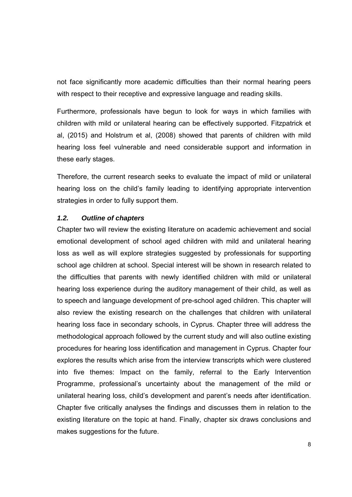not face significantly more academic difficulties than their normal hearing peers with respect to their receptive and expressive language and reading skills.

Furthermore, professionals have begun to look for ways in which families with children with mild or unilateral hearing can be effectively supported. Fitzpatrick et al, (2015) and Holstrum et al, (2008) showed that parents of children with mild hearing loss feel vulnerable and need considerable support and information in these early stages.

Therefore, the current research seeks to evaluate the impact of mild or unilateral hearing loss on the child's family leading to identifying appropriate intervention strategies in order to fully support them.

#### *1.2. Outline of chapters*

Chapter two will review the existing literature on academic achievement and social emotional development of school aged children with mild and unilateral hearing loss as well as will explore strategies suggested by professionals for supporting school age children at school. Special interest will be shown in research related to the difficulties that parents with newly identified children with mild or unilateral hearing loss experience during the auditory management of their child, as well as to speech and language development of pre-school aged children. This chapter will also review the existing research on the challenges that children with unilateral hearing loss face in secondary schools, in Cyprus. Chapter three will address the methodological approach followed by the current study and will also outline existing procedures for hearing loss identification and management in Cyprus. Chapter four explores the results which arise from the interview transcripts which were clustered into five themes: Impact on the family, referral to the Early Intervention Programme, professional's uncertainty about the management of the mild or unilateral hearing loss, child's development and parent's needs after identification. Chapter five critically analyses the findings and discusses them in relation to the existing literature on the topic at hand. Finally, chapter six draws conclusions and makes suggestions for the future.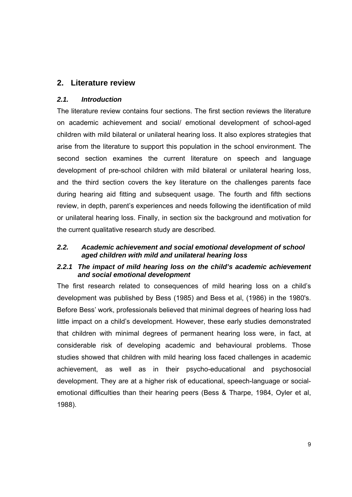# **2. Literature review**

#### *2.1. Introduction*

The literature review contains four sections. The first section reviews the literature on academic achievement and social/ emotional development of school-aged children with mild bilateral or unilateral hearing loss. It also explores strategies that arise from the literature to support this population in the school environment. The second section examines the current literature on speech and language development of pre-school children with mild bilateral or unilateral hearing loss, and the third section covers the key literature on the challenges parents face during hearing aid fitting and subsequent usage. The fourth and fifth sections review, in depth, parent's experiences and needs following the identification of mild or unilateral hearing loss. Finally, in section six the background and motivation for the current qualitative research study are described.

#### *2.2. Academic achievement and social emotional development of school aged children with mild and unilateral hearing loss*

#### *2.2.1 The impact of mild hearing loss on the child's academic achievement and social emotional development*

The first research related to consequences of mild hearing loss on a child's development was published by Bess (1985) and Bess et al, (1986) in the 1980's. Before Bess' work, professionals believed that minimal degrees of hearing loss had little impact on a child's development. However, these early studies demonstrated that children with minimal degrees of permanent hearing loss were, in fact, at considerable risk of developing academic and behavioural problems. Those studies showed that children with mild hearing loss faced challenges in academic achievement, as well as in their psycho-educational and psychosocial development. They are at a higher risk of educational, speech-language or socialemotional difficulties than their hearing peers (Bess & Tharpe, 1984, Oyler et al, 1988).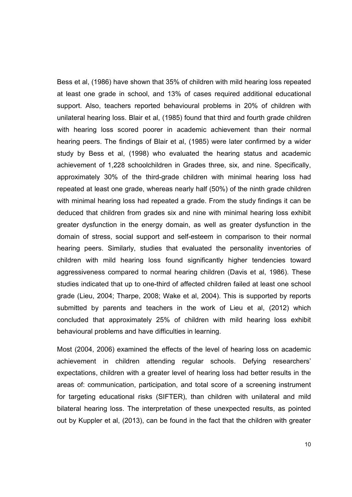Bess et al, (1986) have shown that 35% of children with mild hearing loss repeated at least one grade in school, and 13% of cases required additional educational support. Also, teachers reported behavioural problems in 20% of children with unilateral hearing loss. Blair et al, (1985) found that third and fourth grade children with hearing loss scored poorer in academic achievement than their normal hearing peers. The findings of Blair et al, (1985) were later confirmed by a wider study by Bess et al, (1998) who evaluated the hearing status and academic achievement of 1,228 schoolchildren in Grades three, six, and nine. Specifically, approximately 30% of the third-grade children with minimal hearing loss had repeated at least one grade, whereas nearly half (50%) of the ninth grade children with minimal hearing loss had repeated a grade. From the study findings it can be deduced that children from grades six and nine with minimal hearing loss exhibit greater dysfunction in the energy domain, as well as greater dysfunction in the domain of stress, social support and self-esteem in comparison to their normal hearing peers. Similarly, studies that evaluated the personality inventories of children with mild hearing loss found significantly higher tendencies toward aggressiveness compared to normal hearing children (Davis et al, 1986). These studies indicated that up to one-third of affected children failed at least one school grade (Lieu, 2004; Tharpe, 2008; Wake et al, 2004). This is supported by reports submitted by parents and teachers in the work of Lieu et al, (2012) which concluded that approximately 25% of children with mild hearing loss exhibit behavioural problems and have difficulties in learning.

Most (2004, 2006) examined the effects of the level of hearing loss on academic achievement in children attending regular schools. Defying researchers' expectations, children with a greater level of hearing loss had better results in the areas of: communication, participation, and total score of a screening instrument for targeting educational risks (SIFTER), than children with unilateral and mild bilateral hearing loss. The interpretation of these unexpected results, as pointed out by Kuppler et al, (2013), can be found in the fact that the children with greater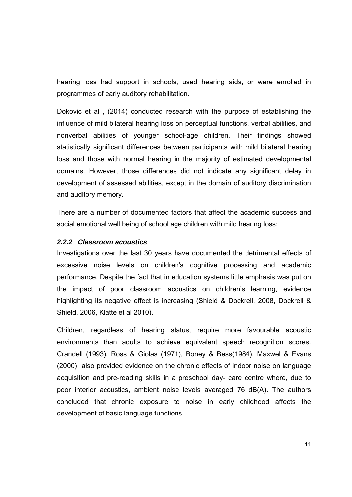hearing loss had support in schools, used hearing aids, or were enrolled in programmes of early auditory rehabilitation.

Dokovic et al , (2014) conducted research with the purpose of establishing the influence of mild bilateral hearing loss on perceptual functions, verbal abilities, and nonverbal abilities of younger school-age children. Their findings showed statistically significant differences between participants with mild bilateral hearing loss and those with normal hearing in the majority of estimated developmental domains. However, those differences did not indicate any significant delay in development of assessed abilities, except in the domain of auditory discrimination and auditory memory.

There are a number of documented factors that affect the academic success and social emotional well being of school age children with mild hearing loss:

#### *2.2.2 Classroom acoustics*

Investigations over the last 30 years have documented the detrimental effects of excessive noise levels on children's cognitive processing and academic performance. Despite the fact that in education systems little emphasis was put on the impact of poor classroom acoustics on children's learning, evidence highlighting its negative effect is increasing (Shield & Dockrell, 2008, Dockrell & Shield, 2006, Klatte et al 2010).

Children, regardless of hearing status, require more favourable acoustic environments than adults to achieve equivalent speech recognition scores. Crandell (1993), Ross & Giolas (1971), Boney & Bess(1984), Maxwel & Evans (2000) also provided evidence on the chronic effects of indoor noise on language acquisition and pre-reading skills in a preschool day- care centre where, due to poor interior acoustics, ambient noise levels averaged 76 dB(A). The authors concluded that chronic exposure to noise in early childhood affects the development of basic language functions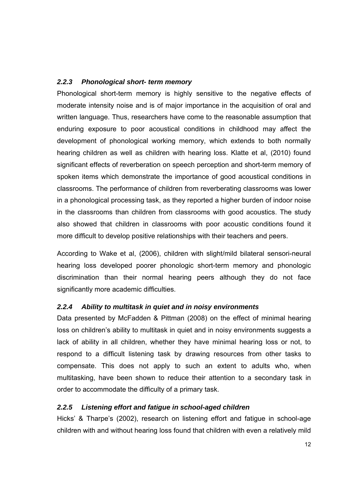#### *2.2.3 Phonological short- term memory*

Phonological short-term memory is highly sensitive to the negative effects of moderate intensity noise and is of major importance in the acquisition of oral and written language. Thus, researchers have come to the reasonable assumption that enduring exposure to poor acoustical conditions in childhood may affect the development of phonological working memory, which extends to both normally hearing children as well as children with hearing loss. Klatte et al, (2010) found significant effects of reverberation on speech perception and short-term memory of spoken items which demonstrate the importance of good acoustical conditions in classrooms. The performance of children from reverberating classrooms was lower in a phonological processing task, as they reported a higher burden of indoor noise in the classrooms than children from classrooms with good acoustics. The study also showed that children in classrooms with poor acoustic conditions found it more difficult to develop positive relationships with their teachers and peers.

According to Wake et al, (2006), children with slight/mild bilateral sensori-neural hearing loss developed poorer phonologic short-term memory and phonologic discrimination than their normal hearing peers although they do not face significantly more academic difficulties.

#### *2.2.4 Ability to multitask in quiet and in noisy environments*

Data presented by McFadden & Pittman (2008) on the effect of minimal hearing loss on children's ability to multitask in quiet and in noisy environments suggests a lack of ability in all children, whether they have minimal hearing loss or not, to respond to a difficult listening task by drawing resources from other tasks to compensate. This does not apply to such an extent to adults who, when multitasking, have been shown to reduce their attention to a secondary task in order to accommodate the difficulty of a primary task.

#### *2.2.5 Listening effort and fatigue in school-aged children*

Hicks' & Tharpe's (2002), research on listening effort and fatigue in school-age children with and without hearing loss found that children with even a relatively mild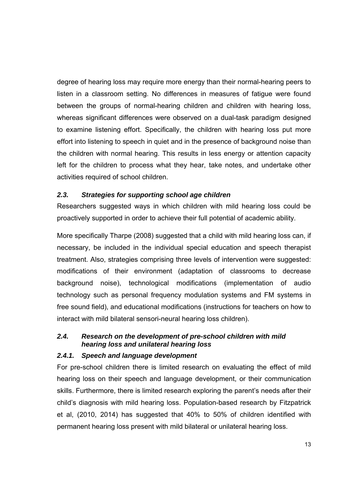degree of hearing loss may require more energy than their normal-hearing peers to listen in a classroom setting. No differences in measures of fatigue were found between the groups of normal-hearing children and children with hearing loss, whereas significant differences were observed on a dual-task paradigm designed to examine listening effort. Specifically, the children with hearing loss put more effort into listening to speech in quiet and in the presence of background noise than the children with normal hearing. This results in less energy or attention capacity left for the children to process what they hear, take notes, and undertake other activities required of school children.

#### *2.3. Strategies for supporting school age children*

Researchers suggested ways in which children with mild hearing loss could be proactively supported in order to achieve their full potential of academic ability.

More specifically Tharpe (2008) suggested that a child with mild hearing loss can, if necessary, be included in the individual special education and speech therapist treatment. Also, strategies comprising three levels of intervention were suggested: modifications of their environment (adaptation of classrooms to decrease background noise), technological modifications (implementation of audio technology such as personal frequency modulation systems and FM systems in free sound field), and educational modifications (instructions for teachers on how to interact with mild bilateral sensori-neural hearing loss children).

#### *2.4. Research on the development of pre-school children with mild hearing loss and unilateral hearing loss*

#### *2.4.1. Speech and language development*

For pre-school children there is limited research on evaluating the effect of mild hearing loss on their speech and language development, or their communication skills. Furthermore, there is limited research exploring the parent's needs after their child's diagnosis with mild hearing loss. Population-based research by Fitzpatrick et al, (2010, 2014) has suggested that 40% to 50% of children identified with permanent hearing loss present with mild bilateral or unilateral hearing loss.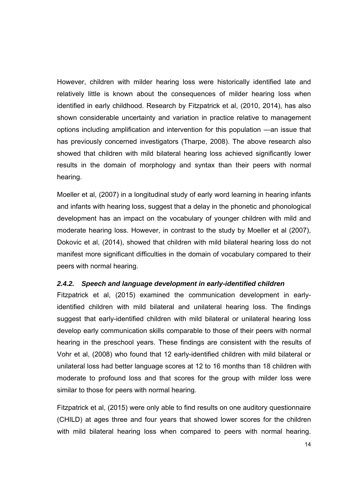However, children with milder hearing loss were historically identified late and relatively little is known about the consequences of milder hearing loss when identified in early childhood. Research by Fitzpatrick et al, (2010, 2014), has also shown considerable uncertainty and variation in practice relative to management options including amplification and intervention for this population —an issue that has previously concerned investigators (Tharpe, 2008). The above research also showed that children with mild bilateral hearing loss achieved significantly lower results in the domain of morphology and syntax than their peers with normal hearing.

Moeller et al, (2007) in a longitudinal study of early word learning in hearing infants and infants with hearing loss, suggest that a delay in the phonetic and phonological development has an impact on the vocabulary of younger children with mild and moderate hearing loss. However, in contrast to the study by Moeller et al (2007), Dokovic et al, (2014), showed that children with mild bilateral hearing loss do not manifest more significant difficulties in the domain of vocabulary compared to their peers with normal hearing.

#### *2.4.2. Speech and language development in early-identified children*

Fitzpatrick et al, (2015) examined the communication development in earlyidentified children with mild bilateral and unilateral hearing loss. The findings suggest that early-identified children with mild bilateral or unilateral hearing loss develop early communication skills comparable to those of their peers with normal hearing in the preschool years. These findings are consistent with the results of Vohr et al, (2008) who found that 12 early-identified children with mild bilateral or unilateral loss had better language scores at 12 to 16 months than 18 children with moderate to profound loss and that scores for the group with milder loss were similar to those for peers with normal hearing.

Fitzpatrick et al, (2015) were only able to find results on one auditory questionnaire (CHILD) at ages three and four years that showed lower scores for the children with mild bilateral hearing loss when compared to peers with normal hearing.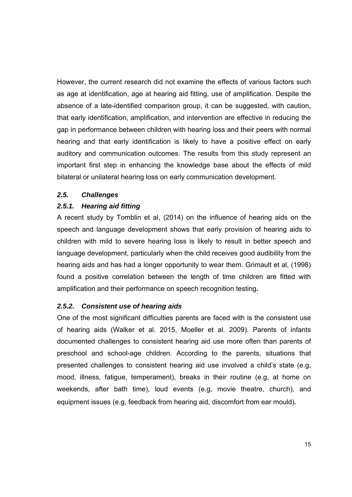However, the current research did not examine the effects of various factors such as age at identification, age at hearing aid fitting, use of amplification. Despite the absence of a late-identified comparison group, it can be suggested, with caution, that early identification, amplification, and intervention are effective in reducing the gap in performance between children with hearing loss and their peers with normal hearing and that early identification is likely to have a positive effect on early auditory and communication outcomes. The results from this study represent an important first step in enhancing the knowledge base about the effects of mild bilateral or unilateral hearing loss on early communication development.

#### *2.5. Challenges*

#### *2.5.1. Hearing aid fitting*

A recent study by Tomblin et al, (2014) on the influence of hearing aids on the speech and language development shows that early provision of hearing aids to children with mild to severe hearing loss is likely to result in better speech and language development, particularly when the child receives good audibility from the hearing aids and has had a longer opportunity to wear them. Grimault et al, (1998) found a positive correlation between the length of time children are fitted with amplification and their performance on speech recognition testing**.** 

#### *2.5.2. Consistent use of hearing aids*

One of the most significant difficulties parents are faced with is the consistent use of hearing aids (Walker et al. 2015, Moeller et al. 2009). Parents of infants documented challenges to consistent hearing aid use more often than parents of preschool and school-age children. According to the parents, situations that presented challenges to consistent hearing aid use involved a child's state (e.g, mood, illness, fatigue, temperament), breaks in their routine (e.g, at home on weekends, after bath time), loud events (e.g, movie theatre, church), and equipment issues (e.g, feedback from hearing aid, discomfort from ear mould).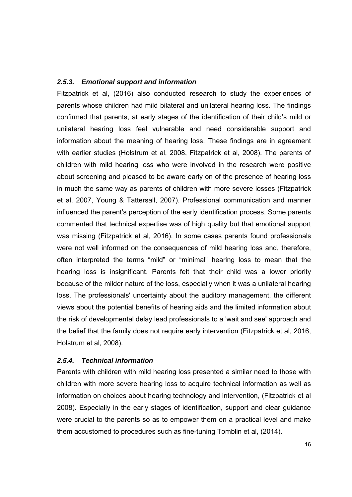#### *2.5.3. Emotional support and information*

Fitzpatrick et al, (2016) also conducted research to study the experiences of parents whose children had mild bilateral and unilateral hearing loss. The findings confirmed that parents, at early stages of the identification of their child's mild or unilateral hearing loss feel vulnerable and need considerable support and information about the meaning of hearing loss. These findings are in agreement with earlier studies (Holstrum et al, 2008, Fitzpatrick et al, 2008). The parents of children with mild hearing loss who were involved in the research were positive about screening and pleased to be aware early on of the presence of hearing loss in much the same way as parents of children with more severe losses (Fitzpatrick et al, 2007, Young & Tattersall, 2007). Professional communication and manner influenced the parent's perception of the early identification process. Some parents commented that technical expertise was of high quality but that emotional support was missing (Fitzpatrick et al, 2016). In some cases parents found professionals were not well informed on the consequences of mild hearing loss and, therefore, often interpreted the terms "mild" or "minimal" hearing loss to mean that the hearing loss is insignificant. Parents felt that their child was a lower priority because of the milder nature of the loss, especially when it was a unilateral hearing loss. The professionals' uncertainty about the auditory management, the different views about the potential benefits of hearing aids and the limited information about the risk of developmental delay lead professionals to a 'wait and see' approach and the belief that the family does not require early intervention (Fitzpatrick et al, 2016, Holstrum et al, 2008).

#### *2.5.4. Technical information*

Parents with children with mild hearing loss presented a similar need to those with children with more severe hearing loss to acquire technical information as well as information on choices about hearing technology and intervention, (Fitzpatrick et al 2008). Especially in the early stages of identification, support and clear guidance were crucial to the parents so as to empower them on a practical level and make them accustomed to procedures such as fine-tuning Tomblin et al, (2014).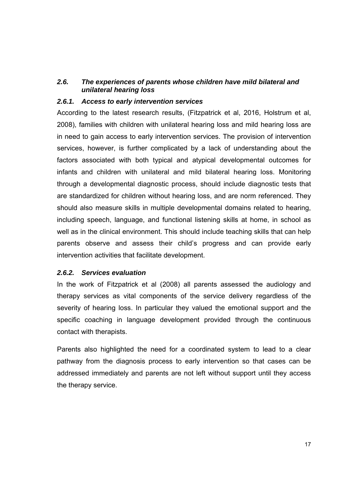#### *2.6. The experiences of parents whose children have mild bilateral and unilateral hearing loss*

#### *2.6.1. Access to early intervention services*

According to the latest research results, (Fitzpatrick et al, 2016, Holstrum et al, 2008), families with children with unilateral hearing loss and mild hearing loss are in need to gain access to early intervention services. The provision of intervention services, however, is further complicated by a lack of understanding about the factors associated with both typical and atypical developmental outcomes for infants and children with unilateral and mild bilateral hearing loss. Monitoring through a developmental diagnostic process, should include diagnostic tests that are standardized for children without hearing loss, and are norm referenced. They should also measure skills in multiple developmental domains related to hearing, including speech, language, and functional listening skills at home, in school as well as in the clinical environment. This should include teaching skills that can help parents observe and assess their child's progress and can provide early intervention activities that facilitate development.

#### *2.6.2. Services evaluation*

In the work of Fitzpatrick et al (2008) all parents assessed the audiology and therapy services as vital components of the service delivery regardless of the severity of hearing loss. In particular they valued the emotional support and the specific coaching in language development provided through the continuous contact with therapists.

Parents also highlighted the need for a coordinated system to lead to a clear pathway from the diagnosis process to early intervention so that cases can be addressed immediately and parents are not left without support until they access the therapy service.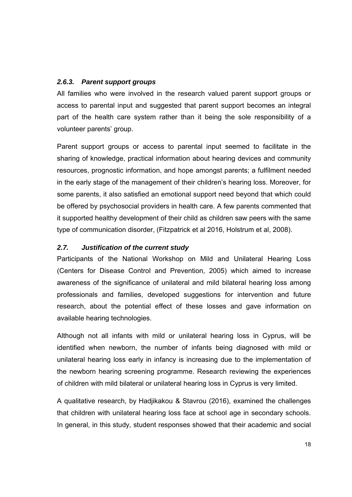#### *2.6.3. Parent support groups*

All families who were involved in the research valued parent support groups or access to parental input and suggested that parent support becomes an integral part of the health care system rather than it being the sole responsibility of a volunteer parents' group.

Parent support groups or access to parental input seemed to facilitate in the sharing of knowledge, practical information about hearing devices and community resources, prognostic information, and hope amongst parents; a fulfilment needed in the early stage of the management of their children's hearing loss. Moreover, for some parents, it also satisfied an emotional support need beyond that which could be offered by psychosocial providers in health care. A few parents commented that it supported healthy development of their child as children saw peers with the same type of communication disorder, (Fitzpatrick et al 2016, Holstrum et al, 2008).

#### *2.7. Justification of the current study*

Participants of the National Workshop on Mild and Unilateral Hearing Loss (Centers for Disease Control and Prevention, 2005) which aimed to increase awareness of the significance of unilateral and mild bilateral hearing loss among professionals and families, developed suggestions for intervention and future research, about the potential effect of these losses and gave information on available hearing technologies.

Although not all infants with mild or unilateral hearing loss in Cyprus, will be identified when newborn, the number of infants being diagnosed with mild or unilateral hearing loss early in infancy is increasing due to the implementation of the newborn hearing screening programme. Research reviewing the experiences of children with mild bilateral or unilateral hearing loss in Cyprus is very limited.

A qualitative research, by Hadjikakou & Stavrou (2016), examined the challenges that children with unilateral hearing loss face at school age in secondary schools. In general, in this study, student responses showed that their academic and social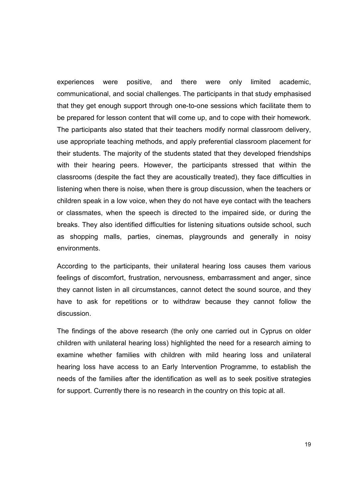experiences were positive, and there were only limited academic, communicational, and social challenges. The participants in that study emphasised that they get enough support through one-to-one sessions which facilitate them to be prepared for lesson content that will come up, and to cope with their homework. The participants also stated that their teachers modify normal classroom delivery, use appropriate teaching methods, and apply preferential classroom placement for their students. The majority of the students stated that they developed friendships with their hearing peers. However, the participants stressed that within the classrooms (despite the fact they are acoustically treated), they face difficulties in listening when there is noise, when there is group discussion, when the teachers or children speak in a low voice, when they do not have eye contact with the teachers or classmates, when the speech is directed to the impaired side, or during the breaks. They also identified difficulties for listening situations outside school, such as shopping malls, parties, cinemas, playgrounds and generally in noisy environments.

According to the participants, their unilateral hearing loss causes them various feelings of discomfort, frustration, nervousness, embarrassment and anger, since they cannot listen in all circumstances, cannot detect the sound source, and they have to ask for repetitions or to withdraw because they cannot follow the discussion.

The findings of the above research (the only one carried out in Cyprus on older children with unilateral hearing loss) highlighted the need for a research aiming to examine whether families with children with mild hearing loss and unilateral hearing loss have access to an Early Intervention Programme, to establish the needs of the families after the identification as well as to seek positive strategies for support. Currently there is no research in the country on this topic at all.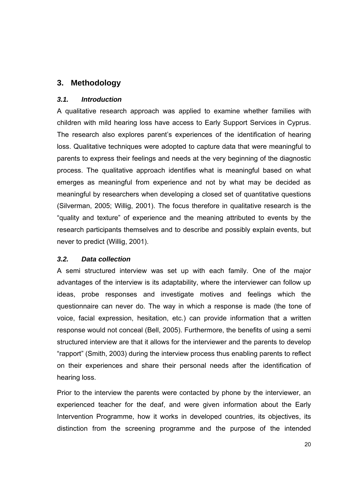# **3. Methodology**

#### *3.1. Introduction*

A qualitative research approach was applied to examine whether families with children with mild hearing loss have access to Early Support Services in Cyprus. The research also explores parent's experiences of the identification of hearing loss. Qualitative techniques were adopted to capture data that were meaningful to parents to express their feelings and needs at the very beginning of the diagnostic process. The qualitative approach identifies what is meaningful based on what emerges as meaningful from experience and not by what may be decided as meaningful by researchers when developing a closed set of quantitative questions (Silverman, 2005; Willig, 2001). The focus therefore in qualitative research is the "quality and texture" of experience and the meaning attributed to events by the research participants themselves and to describe and possibly explain events, but never to predict (Willig, 2001).

#### *3.2. Data collection*

A semi structured interview was set up with each family. One of the major advantages of the interview is its adaptability, where the interviewer can follow up ideas, probe responses and investigate motives and feelings which the questionnaire can never do. The way in which a response is made (the tone of voice, facial expression, hesitation, etc.) can provide information that a written response would not conceal (Bell, 2005). Furthermore, the benefits of using a semi structured interview are that it allows for the interviewer and the parents to develop "rapport" (Smith, 2003) during the interview process thus enabling parents to reflect on their experiences and share their personal needs after the identification of hearing loss.

Prior to the interview the parents were contacted by phone by the interviewer, an experienced teacher for the deaf, and were given information about the Early Intervention Programme, how it works in developed countries, its objectives, its distinction from the screening programme and the purpose of the intended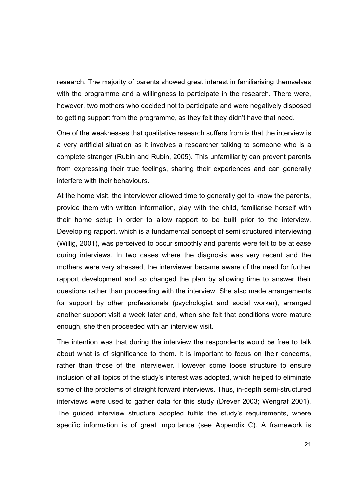research. The majority of parents showed great interest in familiarising themselves with the programme and a willingness to participate in the research. There were, however, two mothers who decided not to participate and were negatively disposed to getting support from the programme, as they felt they didn't have that need.

One of the weaknesses that qualitative research suffers from is that the interview is a very artificial situation as it involves a researcher talking to someone who is a complete stranger (Rubin and Rubin, 2005). This unfamiliarity can prevent parents from expressing their true feelings, sharing their experiences and can generally interfere with their behaviours.

At the home visit, the interviewer allowed time to generally get to know the parents, provide them with written information, play with the child, familiarise herself with their home setup in order to allow rapport to be built prior to the interview. Developing rapport, which is a fundamental concept of semi structured interviewing (Willig, 2001), was perceived to occur smoothly and parents were felt to be at ease during interviews. In two cases where the diagnosis was very recent and the mothers were very stressed, the interviewer became aware of the need for further rapport development and so changed the plan by allowing time to answer their questions rather than proceeding with the interview. She also made arrangements for support by other professionals (psychologist and social worker), arranged another support visit a week later and, when she felt that conditions were mature enough, she then proceeded with an interview visit.

The intention was that during the interview the respondents would be free to talk about what is of significance to them. It is important to focus on their concerns, rather than those of the interviewer. However some loose structure to ensure inclusion of all topics of the study's interest was adopted, which helped to eliminate some of the problems of straight forward interviews. Thus, in-depth semi-structured interviews were used to gather data for this study (Drever 2003; Wengraf 2001). The guided interview structure adopted fulfils the study's requirements, where specific information is of great importance (see Appendix C). A framework is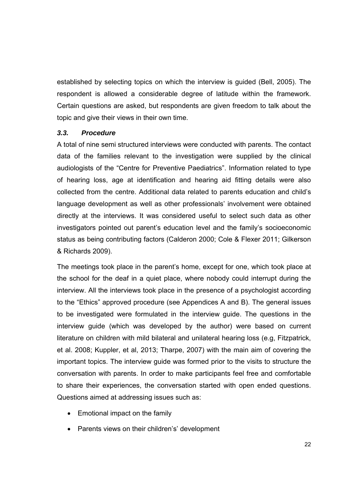established by selecting topics on which the interview is guided (Bell, 2005). The respondent is allowed a considerable degree of latitude within the framework. Certain questions are asked, but respondents are given freedom to talk about the topic and give their views in their own time.

#### *3.3. Procedure*

A total of nine semi structured interviews were conducted with parents. The contact data of the families relevant to the investigation were supplied by the clinical audiologists of the "Centre for Preventive Paediatrics". Information related to type of hearing loss, age at identification and hearing aid fitting details were also collected from the centre. Additional data related to parents education and child's language development as well as other professionals' involvement were obtained directly at the interviews. It was considered useful to select such data as other investigators pointed out parent's education level and the family's socioeconomic status as being contributing factors (Calderon 2000; Cole & Flexer 2011; Gilkerson & Richards 2009).

The meetings took place in the parent's home, except for one, which took place at the school for the deaf in a quiet place, where nobody could interrupt during the interview. All the interviews took place in the presence of a psychologist according to the "Ethics" approved procedure (see Appendices A and B). The general issues to be investigated were formulated in the interview guide. The questions in the interview guide (which was developed by the author) were based on current literature on children with mild bilateral and unilateral hearing loss (e.g, Fitzpatrick, et al. 2008; Kuppler, et al, 2013; Tharpe, 2007) with the main aim of covering the important topics. The interview guide was formed prior to the visits to structure the conversation with parents. In order to make participants feel free and comfortable to share their experiences, the conversation started with open ended questions. Questions aimed at addressing issues such as:

- Emotional impact on the family
- Parents views on their children's' development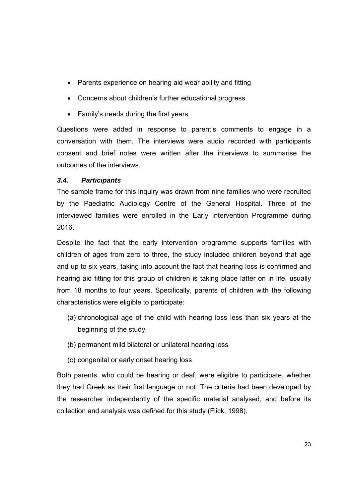- Parents experience on hearing aid wear ability and fitting
- Concerns about children's further educational progress
- Family's needs during the first years

Questions were added in response to parent's comments to engage in a conversation with them. The interviews were audio recorded with participants consent and brief notes were written after the interviews to summarise the outcomes of the interviews.

#### *3.4. Participants*

The sample frame for this inquiry was drawn from nine families who were recruited by the Paediatric Audiology Centre of the General Hospital. Three of the interviewed families were enrolled in the Early Intervention Programme during 2016.

Despite the fact that the early intervention programme supports families with children of ages from zero to three, the study included children beyond that age and up to six years, taking into account the fact that hearing loss is confirmed and hearing aid fitting for this group of children is taking place latter on in life, usually from 18 months to four years. Specifically, parents of children with the following characteristics were eligible to participate:

- (a) chronological age of the child with hearing loss less than six years at the beginning of the study
- (b) permanent mild bilateral or unilateral hearing loss
- (c) congenital or early onset hearing loss

Both parents, who could be hearing or deaf, were eligible to participate, whether they had Greek as their first language or not. The criteria had been developed by the researcher independently of the specific material analysed, and before its collection and analysis was defined for this study (Flick, 1998).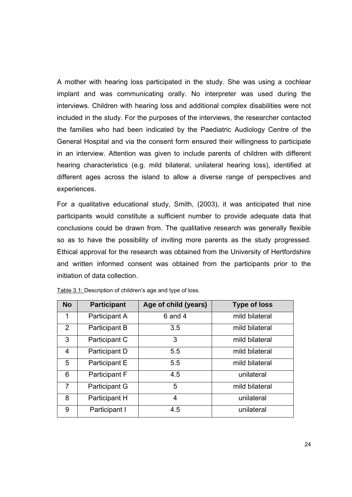A mother with hearing loss participated in the study. She was using a cochlear implant and was communicating orally. No interpreter was used during the interviews. Children with hearing loss and additional complex disabilities were not included in the study. For the purposes of the interviews, the researcher contacted the families who had been indicated by the Paediatric Audiology Centre of the General Hospital and via the consent form ensured their willingness to participate in an interview. Attention was given to include parents of children with different hearing characteristics (e.g. mild bilateral, unilateral hearing loss), identified at different ages across the island to allow a diverse range of perspectives and experiences.

For a qualitative educational study, Smith, (2003), it was anticipated that nine participants would constitute a sufficient number to provide adequate data that conclusions could be drawn from. The qualitative research was generally flexible so as to have the possibility of inviting more parents as the study progressed. Ethical approval for the research was obtained from the University of Hertfordshire and written informed consent was obtained from the participants prior to the initiation of data collection.

| <b>No</b>      | <b>Participant</b> | Age of child (years) | <b>Type of loss</b> |
|----------------|--------------------|----------------------|---------------------|
| 1              | Participant A      | $6$ and $4$          | mild bilateral      |
| $\overline{2}$ | Participant B      | 3.5                  | mild bilateral      |
| 3              | Participant C      | 3                    | mild bilateral      |
| 4              | Participant D      | 5.5                  | mild bilateral      |
| 5              | Participant E      | 5.5                  | mild bilateral      |
| 6              | Participant F      | 4.5                  | unilateral          |
| 7              | Participant G      | 5                    | mild bilateral      |
| 8              | Participant H      | $\overline{4}$       | unilateral          |
| 9              | Participant I      | 4.5                  | unilateral          |

Table 3.1: Description of children's age and type of loss.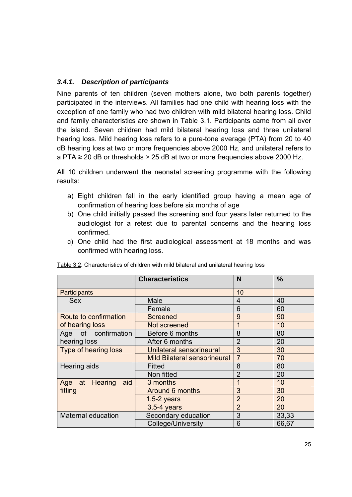## *3.4.1. Description of participants*

Nine parents of ten children (seven mothers alone, two both parents together) participated in the interviews. All families had one child with hearing loss with the exception of one family who had two children with mild bilateral hearing loss. Child and family characteristics are shown in Table 3.1. Participants came from all over the island. Seven children had mild bilateral hearing loss and three unilateral hearing loss. Mild hearing loss refers to a pure-tone average (PTA) from 20 to 40 dB hearing loss at two or more frequencies above 2000 Hz, and unilateral refers to  $a PTA \geq 20$  dB or thresholds  $> 25$  dB at two or more frequencies above 2000 Hz.

All 10 children underwent the neonatal screening programme with the following results:

- a) Eight children fall in the early identified group having a mean age of confirmation of hearing loss before six months of age
- b) One child initially passed the screening and four years later returned to the audiologist for a retest due to parental concerns and the hearing loss confirmed.
- c) One child had the first audiological assessment at 18 months and was confirmed with hearing loss.

|                             | <b>Characteristics</b>              | N              | $\frac{0}{0}$ |
|-----------------------------|-------------------------------------|----------------|---------------|
| Participants                |                                     | 10             |               |
| <b>Sex</b>                  | Male                                | 4              | 40            |
|                             | Female                              | 6              | 60            |
| Route to confirmation       | <b>Screened</b>                     | 9              | 90            |
| of hearing loss             | Not screened                        | 1              | 10            |
| Age of confirmation         | Before 6 months                     | 8              | 80            |
| hearing loss                | After 6 months                      | $\overline{2}$ | 20            |
| <b>Type of hearing loss</b> | Unilateral sensorineural            | 3              | 30            |
|                             | <b>Mild Bilateral sensorineural</b> | $\overline{7}$ | 70            |
| Hearing aids                | Fitted                              | 8              | 80            |
|                             | Non fitted                          | $\overline{2}$ | 20            |
| Age at Hearing<br>aid       | 3 months                            | 1              | 10            |
| fitting                     | Around 6 months                     | 3              | 30            |
|                             | $1.5-2$ years                       | $\overline{2}$ | 20            |
|                             | 3.5-4 years                         | $\overline{2}$ | 20            |
| <b>Maternal education</b>   | Secondary education                 | 3              | 33,33         |
|                             | College/University                  | 6              | 66,67         |

Table 3.2. Characteristics of children with mild bilateral and unilateral hearing loss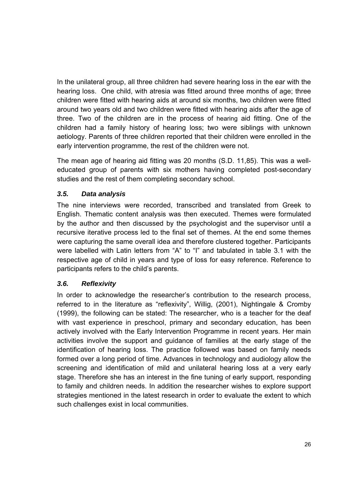In the unilateral group, all three children had severe hearing loss in the ear with the hearing loss. One child, with atresia was fitted around three months of age; three children were fitted with hearing aids at around six months, two children were fitted around two years old and two children were fitted with hearing aids after the age of three. Two of the children are in the process of hearing aid fitting. One of the children had a family history of hearing loss; two were siblings with unknown aetiology. Parents of three children reported that their children were enrolled in the early intervention programme, the rest of the children were not.

The mean age of hearing aid fitting was 20 months (S.D. 11,85). This was a welleducated group of parents with six mothers having completed post-secondary studies and the rest of them completing secondary school.

# *3.5. Data analysis*

The nine interviews were recorded, transcribed and translated from Greek to English. Thematic content analysis was then executed. Themes were formulated by the author and then discussed by the psychologist and the supervisor until a recursive iterative process led to the final set of themes. At the end some themes were capturing the same overall idea and therefore clustered together. Participants were labelled with Latin letters from "A" to "I" and tabulated in table 3.1 with the respective age of child in years and type of loss for easy reference. Reference to participants refers to the child's parents.

## *3.6. Reflexivity*

In order to acknowledge the researcher's contribution to the research process, referred to in the literature as "reflexivity", Willig, (2001), Nightingale & Cromby (1999), the following can be stated: The researcher, who is a teacher for the deaf with vast experience in preschool, primary and secondary education, has been actively involved with the Early Intervention Programme in recent years. Her main activities involve the support and guidance of families at the early stage of the identification of hearing loss. The practice followed was based on family needs formed over a long period of time. Advances in technology and audiology allow the screening and identification of mild and unilateral hearing loss at a very early stage. Therefore she has an interest in the fine tuning of early support, responding to family and children needs. In addition the researcher wishes to explore support strategies mentioned in the latest research in order to evaluate the extent to which such challenges exist in local communities.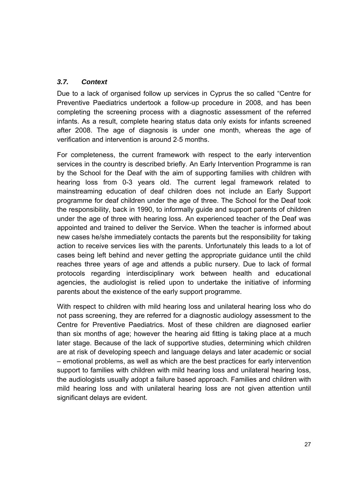## *3.7. Context*

Due to a lack of organised follow up services in Cyprus the so called "Centre for Preventive Paediatrics undertook a follow‐up procedure in 2008, and has been completing the screening process with a diagnostic assessment of the referred infants. As a result, complete hearing status data only exists for infants screened after 2008. The age of diagnosis is under one month, whereas the age of verification and intervention is around 2‐5 months.

For completeness, the current framework with respect to the early intervention services in the country is described briefly. An Early Intervention Programme is ran by the School for the Deaf with the aim of supporting families with children with hearing loss from 0-3 years old. The current legal framework related to mainstreaming education of deaf children does not include an Early Support programme for deaf children under the age of three. The School for the Deaf took the responsibility, back in 1990, to informally guide and support parents of children under the age of three with hearing loss. An experienced teacher of the Deaf was appointed and trained to deliver the Service. When the teacher is informed about new cases he/she immediately contacts the parents but the responsibility for taking action to receive services lies with the parents. Unfortunately this leads to a lot of cases being left behind and never getting the appropriate guidance until the child reaches three years of age and attends a public nursery. Due to lack of formal protocols regarding interdisciplinary work between health and educational agencies, the audiologist is relied upon to undertake the initiative of informing parents about the existence of the early support programme.

With respect to children with mild hearing loss and unilateral hearing loss who do not pass screening, they are referred for a diagnostic audiology assessment to the Centre for Preventive Paediatrics. Most of these children are diagnosed earlier than six months of age; however the hearing aid fitting is taking place at a much later stage. Because of the lack of supportive studies, determining which children are at risk of developing speech and language delays and later academic or social – emotional problems, as well as which are the best practices for early intervention support to families with children with mild hearing loss and unilateral hearing loss, the audiologists usually adopt a failure based approach. Families and children with mild hearing loss and with unilateral hearing loss are not given attention until significant delays are evident.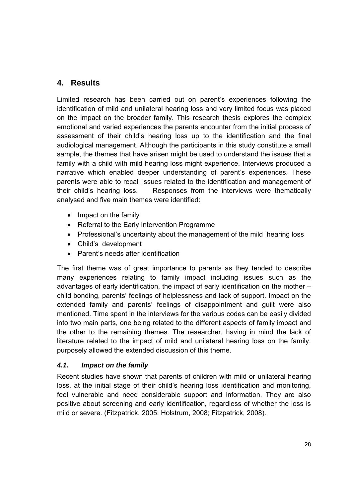# **4. Results**

Limited research has been carried out on parent's experiences following the identification of mild and unilateral hearing loss and very limited focus was placed on the impact on the broader family. This research thesis explores the complex emotional and varied experiences the parents encounter from the initial process of assessment of their child's hearing loss up to the identification and the final audiological management. Although the participants in this study constitute a small sample, the themes that have arisen might be used to understand the issues that a family with a child with mild hearing loss might experience. Interviews produced a narrative which enabled deeper understanding of parent's experiences. These parents were able to recall issues related to the identification and management of their child's hearing loss. Responses from the interviews were thematically analysed and five main themes were identified:

- Impact on the family
- Referral to the Early Intervention Programme
- Professional's uncertainty about the management of the mild hearing loss
- Child's development
- Parent's needs after identification

The first theme was of great importance to parents as they tended to describe many experiences relating to family impact including issues such as the advantages of early identification, the impact of early identification on the mother – child bonding, parents' feelings of helplessness and lack of support. Impact on the extended family and parents' feelings of disappointment and guilt were also mentioned. Time spent in the interviews for the various codes can be easily divided into two main parts, one being related to the different aspects of family impact and the other to the remaining themes. The researcher, having in mind the lack of literature related to the impact of mild and unilateral hearing loss on the family, purposely allowed the extended discussion of this theme.

## *4.1. Impact on the family*

Recent studies have shown that parents of children with mild or unilateral hearing loss, at the initial stage of their child's hearing loss identification and monitoring, feel vulnerable and need considerable support and information. They are also positive about screening and early identification, regardless of whether the loss is mild or severe. (Fitzpatrick, 2005; Holstrum, 2008; Fitzpatrick, 2008).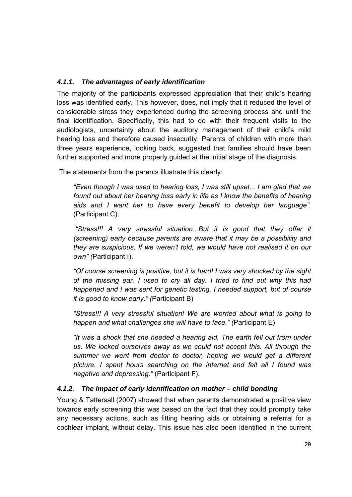## *4.1.1. The advantages of early identification*

The majority of the participants expressed appreciation that their child's hearing loss was identified early. This however, does, not imply that it reduced the level of considerable stress they experienced during the screening process and until the final identification. Specifically, this had to do with their frequent visits to the audiologists, uncertainty about the auditory management of their child's mild hearing loss and therefore caused insecurity. Parents of children with more than three years experience, looking back, suggested that families should have been further supported and more properly guided at the initial stage of the diagnosis.

The statements from the parents illustrate this clearly:

*"Even though I was used to hearing loss, I was still upset... I am glad that we found out about her hearing loss early in life as I know the benefits of hearing aids and Ι want her to have every benefit to develop her language".*  (Participant C).

"Stress!!! A very stressful situation...But it is good that they offer it *(screening) early because parents are aware that it may be a possibility and they are suspicious. If we weren't told, we would have not realised it on our own" (*Participant I).

*"Of course screening is positive, but it is hard! I was very shocked by the sight of the missing ear. I used to cry all day. I tried to find out why this had happened and I was sent for genetic testing. I needed support, but of course it is good to know early." (*Participant B)

*"Stress!!! A very stressful situation! We are worried about what is going to happen and what challenges she will have to face." (*Participant E)

*"It was a shock that she needed a hearing aid. The earth fell out from under us. We locked ourselves away as we could not accept this. All through the summer we went from doctor to doctor, hoping we would get a different picture. I spent hours searching on the internet and felt all I found was negative and depressing."* (Participant F).

## *4.1.2. The impact of early identification on mother – child bonding*

Young & Tattersall (2007) showed that when parents demonstrated a positive view towards early screening this was based on the fact that they could promptly take any necessary actions, such as fitting hearing aids or obtaining a referral for a cochlear implant, without delay. This issue has also been identified in the current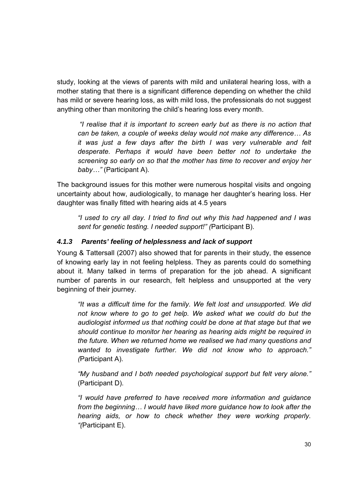study, looking at the views of parents with mild and unilateral hearing loss, with a mother stating that there is a significant difference depending on whether the child has mild or severe hearing loss, as with mild loss, the professionals do not suggest anything other than monitoring the child's hearing loss every month.

*"I realise that it is important to screen early but as there is no action that can be taken, a couple of weeks delay would not make any difference… As it was just a few days after the birth I was very vulnerable and felt desperate. Perhaps it would have been better not to undertake the screening so early on so that the mother has time to recover and enjoy her baby…"* (Participant A).

The background issues for this mother were numerous hospital visits and ongoing uncertainty about how, audiologically, to manage her daughter's hearing loss. Her daughter was finally fitted with hearing aids at 4.5 years

*"I used to cry all day. I tried to find out why this had happened and I was sent for genetic testing. I needed support!" (*Participant B).

## *4.1.3 Parents' feeling of helplessness and lack of support*

Young & Tattersall (2007) also showed that for parents in their study, the essence of knowing early lay in not feeling helpless. They as parents could do something about it. Many talked in terms of preparation for the job ahead. A significant number of parents in our research, felt helpless and unsupported at the very beginning of their journey.

*"It was a difficult time for the family. We felt lost and unsupported. We did not know where to go to get help. We asked what we could do but the audiologist informed us that nothing could be done at that stage but that we should continue to monitor her hearing as hearing aids might be required in the future. When we returned home we realised we had many questions and wanted to investigate further. We did not know who to approach." (*Participant A).

*"My husband and I both needed psychological support but felt very alone."* (Participant D).

*"I would have preferred to have received more information and guidance from the beginning… I would have liked more guidance how to look after the hearing aids, or how to check whether they were working properly. "(*Participant E).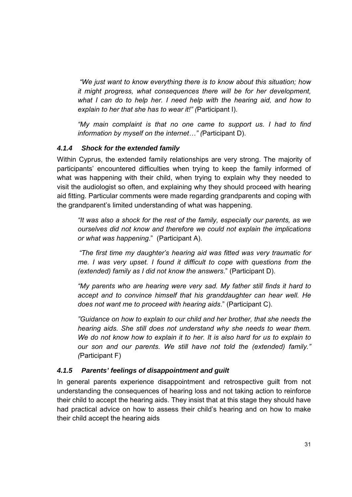*"We just want to know everything there is to know about this situation; how it might progress, what consequences there will be for her development, what I can do to help her. I need help with the hearing aid, and how to explain to her that she has to wear it!" (*Participant I).

*"My main complaint is that no one came to support us. I had to find information by myself on the internet…" (*Participant D).

#### *4.1.4 Shock for the extended family*

Within Cyprus, the extended family relationships are very strong. The majority of participants' encountered difficulties when trying to keep the family informed of what was happening with their child, when trying to explain why they needed to visit the audiologist so often, and explaining why they should proceed with hearing aid fitting. Particular comments were made regarding grandparents and coping with the grandparent's limited understanding of what was happening.

*"It was also a shock for the rest of the family, especially our parents, as we ourselves did not know and therefore we could not explain the implications or what was happening*." (Participant A).

*"The first time my daughter's hearing aid was fitted was very traumatic for me. I was very upset. I found it difficult to cope with questions from the (extended) family as I did not know the answers*." (Participant D).

*"My parents who are hearing were very sad. My father still finds it hard to accept and to convince himself that his granddaughter can hear well. He does not want me to proceed with hearing aids*." (Participant C).

*"Guidance on how to explain to our child and her brother, that she needs the hearing aids. She still does not understand why she needs to wear them. We do not know how to explain it to her. It is also hard for us to explain to our son and our parents. We still have not told the (extended) family." (*Participant F)

## *4.1.5 Parents' feelings of disappointment and guilt*

In general parents experience disappointment and retrospective guilt from not understanding the consequences of hearing loss and not taking action to reinforce their child to accept the hearing aids. They insist that at this stage they should have had practical advice on how to assess their child's hearing and on how to make their child accept the hearing aids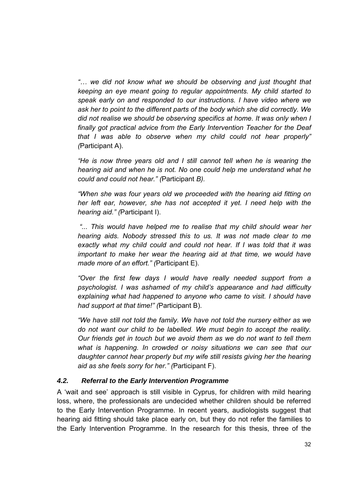*"… we did not know what we should be observing and just thought that keeping an eye meant going to regular appointments. My child started to speak early on and responded to our instructions. I have video where we ask her to point to the different parts of the body which she did correctly. We did not realise we should be observing specifics at home. It was only when I finally got practical advice from the Early Intervention Teacher for the Deaf that I was able to observe when my child could not hear properly" (*Participant A).

*He is now three years old and I still cannot tell when he is wearing the hearing aid and when he is not. No one could help me understand what he could and could not hear." (*Participant *B).* 

*"When she was four years old we proceeded with the hearing aid fitting on her left ear, however, she has not accepted it yet. I need help with the hearing aid." (*Participant I).

*"... This would have helped me to realise that my child should wear her hearing aids. Nobody stressed this to us. It was not made clear to me exactly what my child could and could not hear. If I was told that it was important to make her wear the hearing aid at that time, we would have made more of an effort." (*Participant E).

*"Over the first few days I would have really needed support from a psychologist. I was ashamed of my child's appearance and had difficulty explaining what had happened to anyone who came to visit. I should have had support at that time!" (*Participant B).

*"We have still not told the family. We have not told the nursery either as we do not want our child to be labelled. We must begin to accept the reality. Our friends get in touch but we avoid them as we do not want to tell them what is happening. In crowded or noisy situations we can see that our daughter cannot hear properly but my wife still resists giving her the hearing aid as she feels sorry for her." (*Participant F).

#### *4.2. Referral to the Early Intervention Programme*

A 'wait and see' approach is still visible in Cyprus, for children with mild hearing loss, where, the professionals are undecided whether children should be referred to the Early Intervention Programme. In recent years, audiologists suggest that hearing aid fitting should take place early on, but they do not refer the families to the Early Intervention Programme. In the research for this thesis, three of the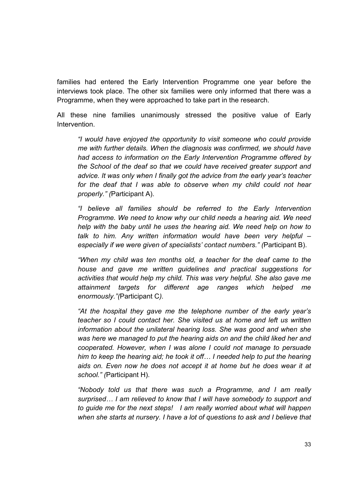families had entered the Early Intervention Programme one year before the interviews took place. The other six families were only informed that there was a Programme, when they were approached to take part in the research.

All these nine families unanimously stressed the positive value of Early Intervention.

*"I would have enjoyed the opportunity to visit someone who could provide me with further details. When the diagnosis was confirmed, we should have had access to information on the Early Intervention Programme offered by the School of the deaf so that we could have received greater support and advice. It was only when I finally got the advice from the early year's teacher for the deaf that I was able to observe when my child could not hear properly." (*Participant A).

*"I believe all families should be referred to the Early Intervention Programme. We need to know why our child needs a hearing aid. We need help with the baby until he uses the hearing aid. We need help on how to talk to him. Any written information would have been very helpful – especially if we were given of specialists' contact numbers." (*Participant B).

*"When my child was ten months old, a teacher for the deaf came to the house and gave me written guidelines and practical suggestions for activities that would help my child. This was very helpful. She also gave me attainment targets for different age ranges which helped me enormously."(*Participant C*).* 

*"At the hospital they gave me the telephone number of the early year's teacher so I could contact her. She visited us at home and left us written information about the unilateral hearing loss. She was good and when she was here we managed to put the hearing aids on and the child liked her and cooperated. However, when I was alone I could not manage to persuade him to keep the hearing aid; he took it off… I needed help to put the hearing aids on. Even now he does not accept it at home but he does wear it at school." (*Participant H).

*"Nobody told us that there was such a Programme, and I am really surprised… I am relieved to know that I will have somebody to support and to guide me for the next steps! I am really worried about what will happen when she starts at nursery. I have a lot of questions to ask and I believe that*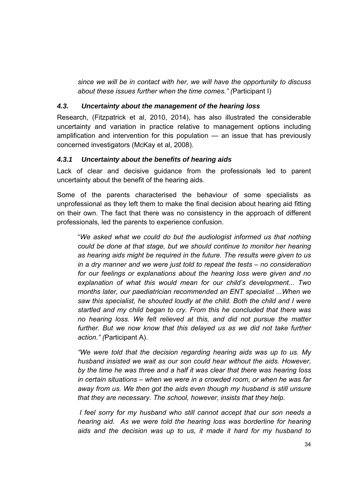*since we will be in contact with her, we will have the opportunity to discuss about these issues further when the time comes." (*Participant I)

#### *4.3. Uncertainty about the management of the hearing loss*

Research, (Fitzpatrick et al, 2010, 2014), has also illustrated the considerable uncertainty and variation in practice relative to management options including amplification and intervention for this population — an issue that has previously concerned investigators (McKay et al, 2008).

#### *4.3.1 Uncertainty about the benefits of hearing aids*

Lack of clear and decisive guidance from the professionals led to parent uncertainty about the benefit of the hearing aids.

Some of the parents characterised the behaviour of some specialists as unprofessional as they left them to make the final decision about hearing aid fitting on their own. The fact that there was no consistency in the approach of different professionals, led the parents to experience confusion.

"*We asked what we could do but the audiologist informed us that nothing could be done at that stage, but we should continue to monitor her hearing as hearing aids might be required in the future*. *The results were given to us in a dry manner and we were just told to repeat the tests – no consideration for our feelings or explanations about the hearing loss were given and no explanation of what this would mean for our child's development... Two months later, our paediatrician recommended an ENT specialist ...When we saw this specialist, he shouted loudly at the child. Both the child and I were startled and my child began to cry. From this he concluded that there was no hearing loss. We felt relieved at this, and did not pursue the matter*  further. But we now know that this delayed us as we did not take further *action." (*Participant A).

*"We were told that the decision regarding hearing aids was up to us. My husband insisted we wait as our son could hear without the aids. However, by the time he was three and a half it was clear that there was hearing loss in certain situations – when we were in a crowded room, or when he was far away from us. We then got the aids even though my husband is still unsure that they are necessary. The school, however, insists that they help.* 

*I feel sorry for my husband who still cannot accept that our son needs a hearing aid. As we were told the hearing loss was borderline for hearing aids and the decision was up to us, it made it hard for my husband to*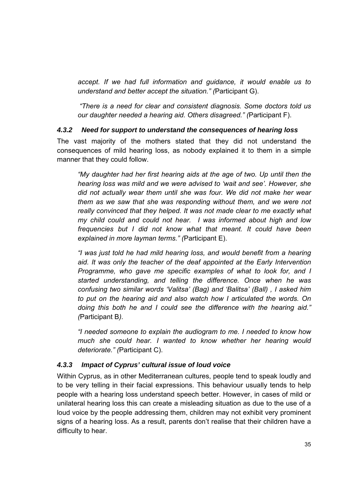*accept. If we had full information and guidance, it would enable us to understand and better accept the situation." (*Participant G).

*"There is a need for clear and consistent diagnosis. Some doctors told us our daughter needed a hearing aid. Others disagreed." (*Participant F).

#### *4.3.2 Need for support to understand the consequences of hearing loss*

The vast majority of the mothers stated that they did not understand the consequences of mild hearing loss, as nobody explained it to them in a simple manner that they could follow.

*"My daughter had her first hearing aids at the age of two. Up until then the hearing loss was mild and we were advised to 'wait and see'. However, she did not actually wear them until she was four. We did not make her wear them as we saw that she was responding without them, and we were not really convinced that they helped. It was not made clear to me exactly what my child could and could not hear. I was informed about high and low frequencies but I did not know what that meant. It could have been explained in more layman terms." (*Participant E).

*"I was just told he had mild hearing loss, and would benefit from a hearing aid. It was only the teacher of the deaf appointed at the Early Intervention Programme, who gave me specific examples of what to look for, and I started understanding, and telling the difference. Once when he was confusing two similar words 'Valitsa' (Bag) and 'Balitsa' (Ball) , I asked him to put on the hearing aid and also watch how I articulated the words. On doing this both he and I could see the difference with the hearing aid." (*Participant B*).* 

*"I needed someone to explain the audiogram to me. I needed to know how much she could hear. I wanted to know whether her hearing would deteriorate." (*Participant C).

## *4.3.3 Impact of Cyprus' cultural issue of loud voice*

Within Cyprus, as in other Mediterranean cultures, people tend to speak loudly and to be very telling in their facial expressions. This behaviour usually tends to help people with a hearing loss understand speech better. However, in cases of mild or unilateral hearing loss this can create a misleading situation as due to the use of a loud voice by the people addressing them, children may not exhibit very prominent signs of a hearing loss. As a result, parents don't realise that their children have a difficulty to hear.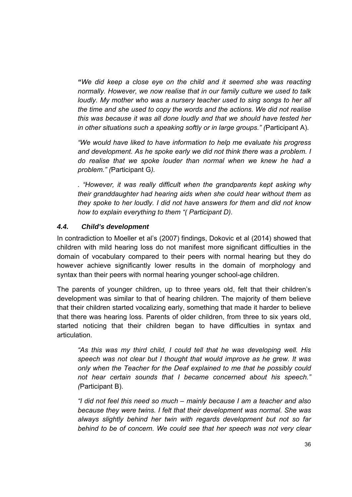*"We did keep a close eye on the child and it seemed she was reacting normally. However, we now realise that in our family culture we used to talk loudly. My mother who was a nursery teacher used to sing songs to her all the time and she used to copy the words and the actions. We did not realise this was because it was all done loudly and that we should have tested her in other situations such a speaking softly or in large groups." (*Participant A).

*"We would have liked to have information to help me evaluate his progress*  and development. As he spoke early we did not think there was a problem. I *do realise that we spoke louder than normal when we knew he had a problem." (*Participant G*).*

*. "However, it was really difficult when the grandparents kept asking why their granddaughter had hearing aids when she could hear without them as they spoke to her loudly. I did not have answers for them and did not know how to explain everything to them "( Participant D).* 

#### *4.4. Child's development*

In contradiction to Moeller et al's (2007) findings, Dokovic et al (2014) showed that children with mild hearing loss do not manifest more significant difficulties in the domain of vocabulary compared to their peers with normal hearing but they do however achieve significantly lower results in the domain of morphology and syntax than their peers with normal hearing younger school-age children.

The parents of younger children, up to three years old, felt that their children's development was similar to that of hearing children. The majority of them believe that their children started vocalizing early, something that made it harder to believe that there was hearing loss. Parents of older children, from three to six years old, started noticing that their children began to have difficulties in syntax and articulation.

*"As this was my third child, I could tell that he was developing well. His speech was not clear but I thought that would improve as he grew. It was only when the Teacher for the Deaf explained to me that he possibly could not hear certain sounds that I became concerned about his speech." (*Participant B).

*"I did not feel this need so much – mainly because I am a teacher and also because they were twins. I felt that their development was normal. She was always slightly behind her twin with regards development but not so far behind to be of concern. We could see that her speech was not very clear*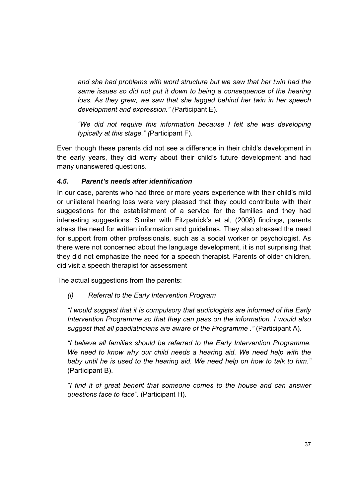*and she had problems with word structure but we saw that her twin had the same issues so did not put it down to being a consequence of the hearing loss. As they grew, we saw that she lagged behind her twin in her speech development and expression." (*Participant E).

*"We did not require this information because I felt she was developing typically at this stage." (*Participant F).

Even though these parents did not see a difference in their child's development in the early years, they did worry about their child's future development and had many unanswered questions.

## *4.5. Parent's needs after identification*

In our case, parents who had three or more years experience with their child's mild or unilateral hearing loss were very pleased that they could contribute with their suggestions for the establishment of a service for the families and they had interesting suggestions. Similar with Fitzpatrick's et al, (2008) findings, parents stress the need for written information and guidelines. They also stressed the need for support from other professionals, such as a social worker or psychologist. As there were not concerned about the language development, it is not surprising that they did not emphasize the need for a speech therapist. Parents of older children, did visit a speech therapist for assessment

The actual suggestions from the parents:

## *(i) Referral to the Early Intervention Program*

*"I would suggest that it is compulsory that audiologists are informed of the Early Intervention Programme so that they can pass on the information. I would also suggest that all paediatricians are aware of the Programme ."* (Participant A).

*"I believe all families should be referred to the Early Intervention Programme. We need to know why our child needs a hearing aid. We need help with the baby until he is used to the hearing aid. We need help on how to talk to him."*  (Participant B).

*"I find it of great benefit that someone comes to the house and can answer questions face to face".* (Participant H).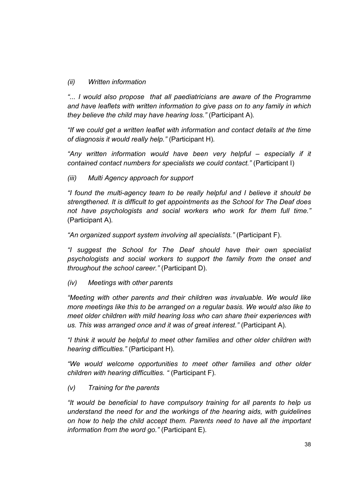#### *(ii) Written information*

*"... I would also propose that all paediatricians are aware of the Programme and have leaflets with written information to give pass on to any family in which they believe the child may have hearing loss."* (Participant A)*.* 

*"If we could get a written leaflet with information and contact details at the time of diagnosis it would really help."* (Participant H)*.* 

*"Any written information would have been very helpful – especially if it contained contact numbers for specialists we could contact."* (Participant I)

*(iii) Multi Agency approach for support* 

*"I found the multi-agency team to be really helpful and I believe it should be strengthened. It is difficult to get appointments as the School for The Deaf does not have psychologists and social workers who work for them full time."*  (Participant A)*.* 

*"An organized support system involving all specialists."* (Participant F).

*"I suggest the School for The Deaf should have their own specialist psychologists and social workers to support the family from the onset and throughout the school career."* (Participant D).

*(iv) Meetings with other parents* 

*"Meeting with other parents and their children was invaluable. We would like more meetings like this to be arranged on a regular basis. We would also like to meet older children with mild hearing loss who can share their experiences with us. This was arranged once and it was of great interest."* (Participant A)*.* 

*"I think it would be helpful to meet other families and other older children with hearing difficulties."* (Participant H)*.* 

*"We would welcome opportunities to meet other families and other older children with hearing difficulties. "* (Participant F)*.* 

*(v) Training for the parents* 

*"It would be beneficial to have compulsory training for all parents to help us understand the need for and the workings of the hearing aids, with guidelines on how to help the child accept them. Parents need to have all the important information from the word go."* (Participant E)*.*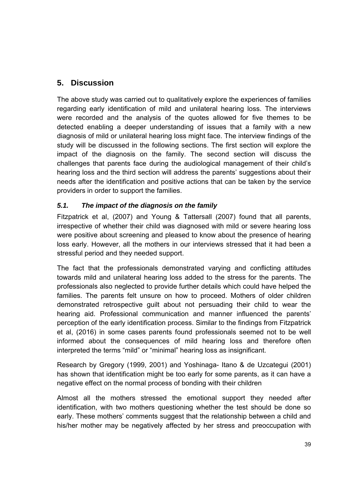# **5. Discussion**

The above study was carried out to qualitatively explore the experiences of families regarding early identification of mild and unilateral hearing loss. The interviews were recorded and the analysis of the quotes allowed for five themes to be detected enabling a deeper understanding of issues that a family with a new diagnosis of mild or unilateral hearing loss might face. The interview findings of the study will be discussed in the following sections. The first section will explore the impact of the diagnosis on the family. The second section will discuss the challenges that parents face during the audiological management of their child's hearing loss and the third section will address the parents' suggestions about their needs after the identification and positive actions that can be taken by the service providers in order to support the families.

# *5.1. The impact of the diagnosis on the family*

Fitzpatrick et al, (2007) and Young & Tattersall (2007) found that all parents, irrespective of whether their child was diagnosed with mild or severe hearing loss were positive about screening and pleased to know about the presence of hearing loss early. However, all the mothers in our interviews stressed that it had been a stressful period and they needed support.

The fact that the professionals demonstrated varying and conflicting attitudes towards mild and unilateral hearing loss added to the stress for the parents. The professionals also neglected to provide further details which could have helped the families. The parents felt unsure on how to proceed. Mothers of older children demonstrated retrospective guilt about not persuading their child to wear the hearing aid. Professional communication and manner influenced the parents' perception of the early identification process. Similar to the findings from Fitzpatrick et al, (2016) in some cases parents found professionals seemed not to be well informed about the consequences of mild hearing loss and therefore often interpreted the terms "mild" or "minimal" hearing loss as insignificant.

Research by Gregory (1999, 2001) and Yoshinaga- Itano & de Uzcategui (2001) has shown that identification might be too early for some parents, as it can have a negative effect on the normal process of bonding with their children

Almost all the mothers stressed the emotional support they needed after identification, with two mothers questioning whether the test should be done so early. These mothers' comments suggest that the relationship between a child and his/her mother may be negatively affected by her stress and preoccupation with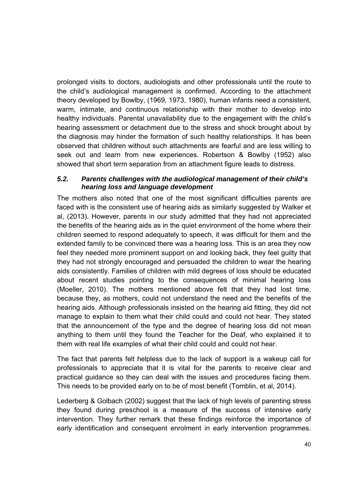prolonged visits to doctors, audiologists and other professionals until the route to the child's audiological management is confirmed. According to the attachment theory developed by Bowlby, (1969, 1973, 1980), human infants need a consistent, warm, intimate, and continuous relationship with their mother to develop into healthy individuals. Parental unavailability due to the engagement with the child's hearing assessment or detachment due to the stress and shock brought about by the diagnosis may hinder the formation of such healthy relationships. It has been observed that children without such attachments are fearful and are less willing to seek out and learn from new experiences. Robertson & Bowlby (1952) also showed that short term separation from an attachment figure leads to distress.

#### *5.2. Parents challenges with the audiological management of their child's hearing loss and language development*

The mothers also noted that one of the most significant difficulties parents are faced with is the consistent use of hearing aids as similarly suggested by Walker et al, (2013). However, parents in our study admitted that they had not appreciated the benefits of the hearing aids as in the quiet environment of the home where their children seemed to respond adequately to speech, it was difficult for them and the extended family to be convinced there was a hearing loss. This is an area they now feel they needed more prominent support on and looking back, they feel guilty that they had not strongly encouraged and persuaded the children to wear the hearing aids consistently. Families of children with mild degrees of loss should be educated about recent studies pointing to the consequences of minimal hearing loss (Moeller, 2010). The mothers mentioned above felt that they had lost time, because they, as mothers, could not understand the need and the benefits of the hearing aids. Although professionals insisted on the hearing aid fitting, they did not manage to explain to them what their child could and could not hear. They stated that the announcement of the type and the degree of hearing loss did not mean anything to them until they found the Teacher for the Deaf, who explained it to them with real life examples of what their child could and could not hear.

The fact that parents felt helpless due to the lack of support is a wakeup call for professionals to appreciate that it is vital for the parents to receive clear and practical guidance so they can deal with the issues and procedures facing them. This needs to be provided early on to be of most benefit (Tomblin, et al, 2014).

Lederberg & Golbach (2002) suggest that the lack of high levels of parenting stress they found during preschool is a measure of the success of intensive early intervention. They further remark that these findings reinforce the importance of early identification and consequent enrolment in early intervention programmes.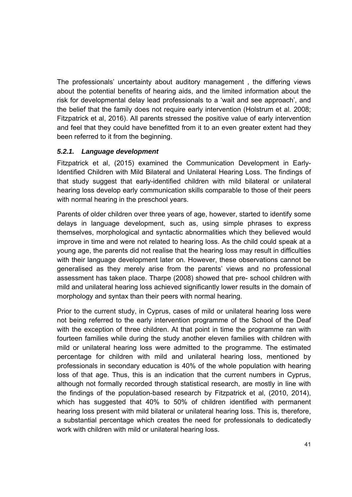The professionals' uncertainty about auditory management , the differing views about the potential benefits of hearing aids, and the limited information about the risk for developmental delay lead professionals to a 'wait and see approach', and the belief that the family does not require early intervention (Holstrum et al. 2008; Fitzpatrick et al, 2016). All parents stressed the positive value of early intervention and feel that they could have benefitted from it to an even greater extent had they been referred to it from the beginning.

#### *5.2.1. Language development*

Fitzpatrick et al, (2015) examined the Communication Development in Early-Identified Children with Mild Bilateral and Unilateral Hearing Loss. The findings of that study suggest that early-identified children with mild bilateral or unilateral hearing loss develop early communication skills comparable to those of their peers with normal hearing in the preschool years.

Parents of older children over three years of age, however, started to identify some delays in language development, such as, using simple phrases to express themselves, morphological and syntactic abnormalities which they believed would improve in time and were not related to hearing loss. As the child could speak at a young age, the parents did not realise that the hearing loss may result in difficulties with their language development later on. However, these observations cannot be generalised as they merely arise from the parents' views and no professional assessment has taken place. Tharpe (2008) showed that pre- school children with mild and unilateral hearing loss achieved significantly lower results in the domain of morphology and syntax than their peers with normal hearing.

Prior to the current study, in Cyprus, cases of mild or unilateral hearing loss were not being referred to the early intervention programme of the School of the Deaf with the exception of three children. At that point in time the programme ran with fourteen families while during the study another eleven families with children with mild or unilateral hearing loss were admitted to the programme. The estimated percentage for children with mild and unilateral hearing loss, mentioned by professionals in secondary education is 40% of the whole population with hearing loss of that age. Thus, this is an indication that the current numbers in Cyprus, although not formally recorded through statistical research, are mostly in line with the findings of the population-based research by Fitzpatrick et al, (2010, 2014), which has suggested that 40% to 50% of children identified with permanent hearing loss present with mild bilateral or unilateral hearing loss. This is, therefore, a substantial percentage which creates the need for professionals to dedicatedly work with children with mild or unilateral hearing loss.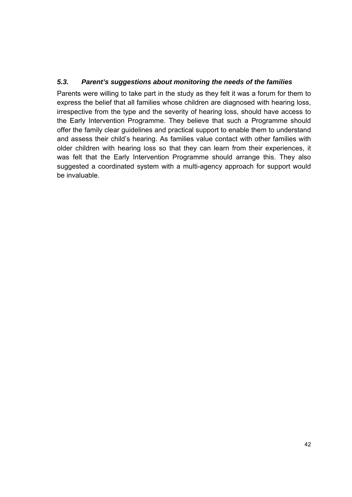## *5.3. Parent's suggestions about monitoring the needs of the families*

Parents were willing to take part in the study as they felt it was a forum for them to express the belief that all families whose children are diagnosed with hearing loss, irrespective from the type and the severity of hearing loss, should have access to the Early Intervention Programme. They believe that such a Programme should offer the family clear guidelines and practical support to enable them to understand and assess their child's hearing. As families value contact with other families with older children with hearing loss so that they can learn from their experiences, it was felt that the Early Intervention Programme should arrange this. They also suggested a coordinated system with a multi-agency approach for support would be invaluable.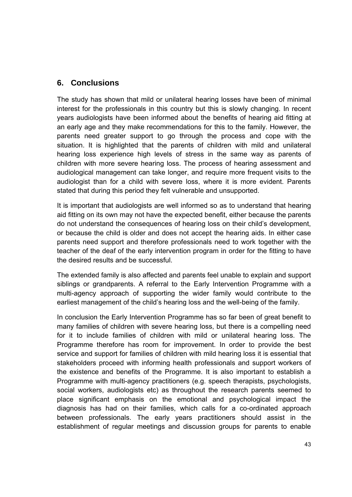# **6. Conclusions**

The study has shown that mild or unilateral hearing losses have been of minimal interest for the professionals in this country but this is slowly changing. In recent years audiologists have been informed about the benefits of hearing aid fitting at an early age and they make recommendations for this to the family. However, the parents need greater support to go through the process and cope with the situation. It is highlighted that the parents of children with mild and unilateral hearing loss experience high levels of stress in the same way as parents of children with more severe hearing loss. The process of hearing assessment and audiological management can take longer, and require more frequent visits to the audiologist than for a child with severe loss, where it is more evident. Parents stated that during this period they felt vulnerable and unsupported.

It is important that audiologists are well informed so as to understand that hearing aid fitting on its own may not have the expected benefit, either because the parents do not understand the consequences of hearing loss on their child's development, or because the child is older and does not accept the hearing aids. In either case parents need support and therefore professionals need to work together with the teacher of the deaf of the early intervention program in order for the fitting to have the desired results and be successful.

The extended family is also affected and parents feel unable to explain and support siblings or grandparents. A referral to the Early Intervention Programme with a multi-agency approach of supporting the wider family would contribute to the earliest management of the child's hearing loss and the well-being of the family.

In conclusion the Early Intervention Programme has so far been of great benefit to many families of children with severe hearing loss, but there is a compelling need for it to include families of children with mild or unilateral hearing loss. The Programme therefore has room for improvement. In order to provide the best service and support for families of children with mild hearing loss it is essential that stakeholders proceed with informing health professionals and support workers of the existence and benefits of the Programme. It is also important to establish a Programme with multi-agency practitioners (e.g. speech therapists, psychologists, social workers, audiologists etc) as throughout the research parents seemed to place significant emphasis on the emotional and psychological impact the diagnosis has had on their families, which calls for a co-ordinated approach between professionals. The early years practitioners should assist in the establishment of regular meetings and discussion groups for parents to enable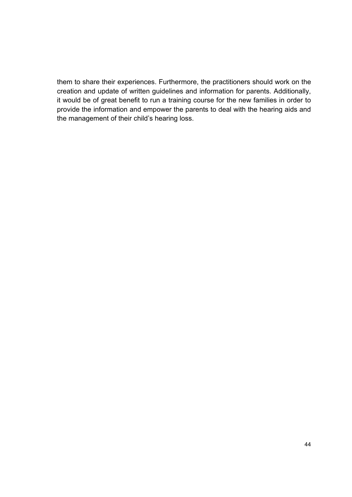them to share their experiences. Furthermore, the practitioners should work on the creation and update of written guidelines and information for parents. Additionally, it would be of great benefit to run a training course for the new families in order to provide the information and empower the parents to deal with the hearing aids and the management of their child's hearing loss.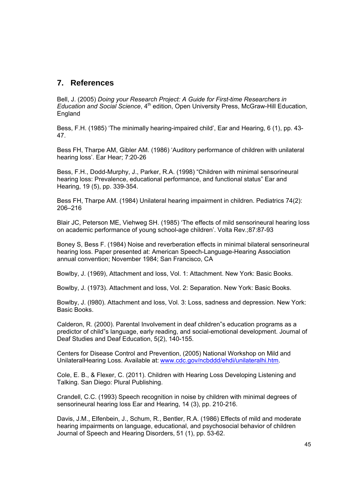## **7. References**

Bell, J. (2005) *Doing your Research Project: A Guide for First-time Researchers in Education and Social Science*, 4<sup>th</sup> edition, Open University Press, McGraw-Hill Education, England

Bess, F.H. (1985) 'The minimally hearing-impaired child', Ear and Hearing, 6 (1), pp. 43- 47.

Bess FH, Tharpe AM, Gibler AM. (1986) 'Auditory performance of children with unilateral hearing loss'. Ear Hear; 7:20-26

Bess, F.H., Dodd-Murphy, J., Parker, R.A. (1998) "Children with minimal sensorineural hearing loss: Prevalence, educational performance, and functional status" Ear and Hearing, 19 (5), pp. 339-354.

Bess FH, Tharpe AM. (1984) Unilateral hearing impairment in children. Pediatrics 74(2): 206–216

Blair JC, Peterson ME, Viehweg SH. (1985) 'The effects of mild sensorineural hearing loss on academic performance of young school-age children'. Volta Rev.;87:87-93

Boney S, Bess F. (1984) Noise and reverberation effects in minimal bilateral sensorineural hearing loss. Paper presented at: American Speech-Language-Hearing Association annual convention; November 1984; San Francisco, CA

Bowlby, J. (1969), Attachment and loss, Vol. 1: Attachment. New York: Basic Books.

Bowlby, J. (1973). Attachment and loss, Vol. 2: Separation. New York: Basic Books.

Bowlby, J. (I980). Attachment and loss, Vol. 3: Loss, sadness and depression. New York: Basic Books.

Calderon, R. (2000). Parental Involvement in deaf children"s education programs as a predictor of child"s language, early reading, and social-emotional development. Journal of Deaf Studies and Deaf Education, 5(2), 140-155.

Centers for Disease Control and Prevention, (2005) National Workshop on Mild and UnilateralHearing Loss. Available at: www.cdc.gov/ncbddd/ehdi/unilateralhi.htm.

Cole, E. B., & Flexer, C. (2011). Children with Hearing Loss Developing Listening and Talking. San Diego: Plural Publishing.

Crandell, C.C. (1993) Speech recognition in noise by children with minimal degrees of sensorineural hearing loss Ear and Hearing, 14 (3), pp. 210-216.

Davis, J.M., Elfenbein, J., Schum, R., Bentler, R.A. (1986) Effects of mild and moderate hearing impairments on language, educational, and psychosocial behavior of children Journal of Speech and Hearing Disorders, 51 (1), pp. 53-62.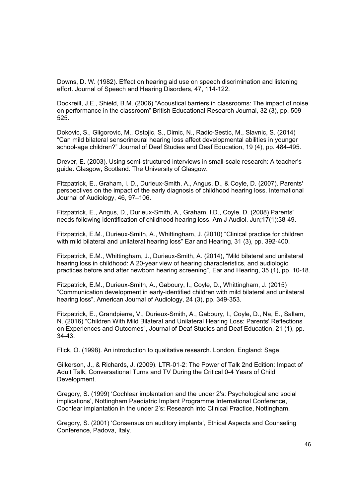Downs, D. W. (1982). Effect on hearing aid use on speech discrimination and listening effort. Journal of Speech and Hearing Disorders, 47, 114-122.

Dockreill, J.E., Shield, B.M. (2006) "Acoustical barriers in classrooms: The impact of noise on performance in the classroom" British Educational Research Journal, 32 (3), pp. 509- 525.

Dokovic, S., Gligorovic, M., Ostojic, S., Dimic, N., Radic-Sestic, M., Slavnic, S. (2014) "Can mild bilateral sensorineural hearing loss affect developmental abilities in younger school-age children?" Journal of Deaf Studies and Deaf Education, 19 (4), pp. 484-495.

Drever, E. (2003). Using semi-structured interviews in small-scale research: A teacher's guide. Glasgow, Scotland: The University of Glasgow.

Fitzpatrick, E., Graham, I. D., Durieux-Smith, A., Angus, D., & Coyle, D. (2007). Parents' perspectives on the impact of the early diagnosis of childhood hearing loss. International Journal of Audiology, 46, 97–106.

Fitzpatrick, E., Angus, D., Durieux-Smith, A., Graham, I.D., Coyle, D. (2008) Parents' needs following identification of childhood hearing loss, Am J Audiol. Jun;17(1):38-49.

Fitzpatrick, E.M., Durieux-Smith, A., Whittingham, J. (2010) "Clinical practice for children with mild bilateral and unilateral hearing loss" Ear and Hearing, 31 (3), pp. 392-400.

Fitzpatrick, E.M., Whittingham, J., Durieux-Smith, A. (2014), "Mild bilateral and unilateral hearing loss in childhood: A 20-year view of hearing characteristics, and audiologic practices before and after newborn hearing screening", Ear and Hearing, 35 (1), pp. 10-18.

Fitzpatrick, E.M., Durieux-Smith, A., Gaboury, I., Coyle, D., Whittingham, J. (2015) "Communication development in early-identified children with mild bilateral and unilateral hearing loss", American Journal of Audiology, 24 (3), pp. 349-353.

Fitzpatrick, E., Grandpierre, V., Durieux-Smith, A., Gaboury, I., Coyle, D., Na, E., Sallam, N. (2016) "Children With Mild Bilateral and Unilateral Hearing Loss: Parents' Reflections on Experiences and Outcomes", Journal of Deaf Studies and Deaf Education, 21 (1), pp. 34-43.

Flick, O. (1998). An introduction to qualitative research. London, England: Sage.

Gilkerson, J., & Richards, J. (2009). LTR-01-2: The Power of Talk 2nd Edition: Impact of Adult Talk, Conversational Turns and TV During the Critical 0-4 Years of Child Development.

Gregory, S. (1999) 'Cochlear implantation and the under 2's: Psychological and social implications', Nottingham Paediatric Implant Programme International Conference, Cochlear implantation in the under 2's: Research into Clinical Practice, Nottingham.

Gregory, S. (2001) 'Consensus on auditory implants', Ethical Aspects and Counseling Conference, Padova, Italy.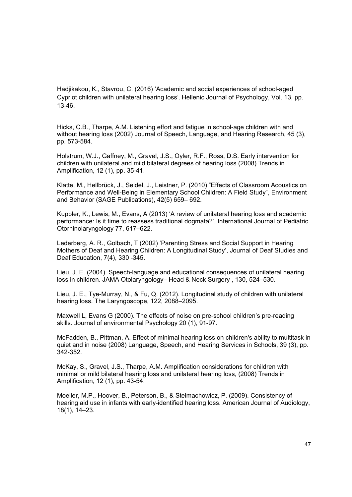Hadjikakou, K., Stavrou, C. (2016) 'Academic and social experiences of school-aged Cypriot children with unilateral hearing loss'. Hellenic Journal of Psychology, Vol. 13, pp. 13-46.

Hicks, C.B., Tharpe, A.M. Listening effort and fatigue in school-age children with and without hearing loss (2002) Journal of Speech, Language, and Hearing Research, 45 (3), pp. 573-584.

Holstrum, W.J., Gaffney, M., Gravel, J.S., Oyler, R.F., Ross, D.S. Early intervention for children with unilateral and mild bilateral degrees of hearing loss (2008) Trends in Amplification, 12 (1), pp. 35-41.

Klatte, M., Hellbrück, J., Seidel, J., Leistner, P. (2010) "Effects of Classroom Acoustics on Performance and Well-Being in Elementary School Children: A Field Study", Environment and Behavior (SAGE Publications), 42(5) 659– 692.

Kuppler, K., Lewis, M., Evans, A (2013) 'A review of unilateral hearing loss and academic performance: Is it time to reassess traditional dogmata?', International Journal of Pediatric Otorhinolaryngology 77, 617–622.

Lederberg, A. R., Golbach, T (2002) 'Parenting Stress and Social Support in Hearing Mothers of Deaf and Hearing Children: A Longitudinal Study', Journal of Deaf Studies and Deaf Education, 7(4), 330 -345.

Lieu, J. E. (2004). Speech-language and educational consequences of unilateral hearing loss in children. JAMA Otolaryngology– Head & Neck Surgery , 130, 524–530.

Lieu, J. E., Tye-Murray, N., & Fu, Q. (2012). Longitudinal study of children with unilateral hearing loss. The Laryngoscope, 122, 2088–2095.

Maxwell L, Evans G (2000). The effects of noise on pre-school children's pre-reading skills. Journal of environmental Psychology 20 (1), 91-97.

McFadden, B., Pittman, A. Effect of minimal hearing loss on children's ability to multitask in quiet and in noise (2008) Language, Speech, and Hearing Services in Schools, 39 (3), pp. 342-352.

McKay, S., Gravel, J.S., Tharpe, A.M. Amplification considerations for children with minimal or mild bilateral hearing loss and unilateral hearing loss, (2008) Trends in Amplification, 12 (1), pp. 43-54.

Moeller, M.P., Hoover, B., Peterson, B., & Stelmachowicz, P. (2009). Consistency of hearing aid use in infants with early-identified hearing loss. American Journal of Audiology, 18(1), 14–23.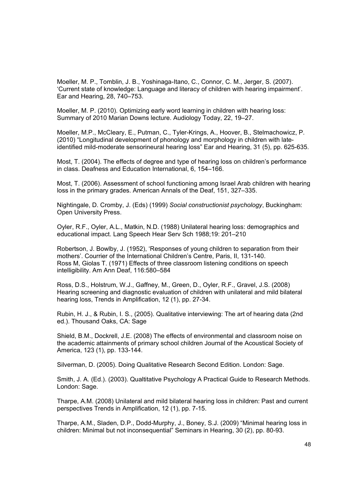Moeller, M. P., Tomblin, J. B., Yoshinaga-Itano, C., Connor, C. M., Jerger, S. (2007). 'Current state of knowledge: Language and literacy of children with hearing impairment'. Ear and Hearing, 28, 740–753.

Moeller, M. P. (2010). Optimizing early word learning in children with hearing loss: Summary of 2010 Marian Downs lecture. Audiology Today, 22, 19–27.

Moeller, M.P., McCleary, E., Putman, C., Tyler-Krings, A., Hoover, B., Stelmachowicz, P. (2010) "Longitudinal development of phonology and morphology in children with lateidentified mild-moderate sensorineural hearing loss" Ear and Hearing, 31 (5), pp. 625-635.

Most, T. (2004). The effects of degree and type of hearing loss on children's performance in class. Deafness and Education International, 6, 154–166.

Most, T. (2006). Assessment of school functioning among Israel Arab children with hearing loss in the primary grades. American Annals of the Deaf, 151, 327–335.

Nightingale, D. Cromby, J. (Eds) (1999) *Social constructionist psychology*, Buckingham: Open University Press.

Oyler, R.F., Oyler, A.L., Matkin, N.D. (1988) Unilateral hearing loss: demographics and educational impact. Lang Speech Hear Serv Sch 1988;19: 201–210

Robertson, J. Bowlby, J. (1952), 'Responses of young children to separation from their mothers'. Courrier of the International Children's Centre, Paris, II, 131-140. Ross M, Giolas T. (1971) Effects of three classroom listening conditions on speech intelligibility. Am Ann Deaf, 116:580–584

Ross, D.S., Holstrum, W.J., Gaffney, M., Green, D., Oyler, R.F., Gravel, J.S. (2008) Hearing screening and diagnostic evaluation of children with unilateral and mild bilateral hearing loss, Trends in Amplification, 12 (1), pp. 27-34.

Rubin, H. J., & Rubin, I. S., (2005). Qualitative interviewing: The art of hearing data (2nd ed.). Thousand Oaks, CA: Sage

Shield, B.M., Dockrell, J.E. (2008) The effects of environmental and classroom noise on the academic attainments of primary school children Journal of the Acoustical Society of America, 123 (1), pp. 133-144.

Silverman, D. (2005). Doing Qualitative Research Second Edition. London: Sage.

Smith, J. A. (Ed.). (2003). Qualtitative Psychology A Practical Guide to Research Methods. London: Sage.

Tharpe, A.M. (2008) Unilateral and mild bilateral hearing loss in children: Past and current perspectives Trends in Amplification, 12 (1), pp. 7-15.

Tharpe, A.M., Sladen, D.P., Dodd-Murphy, J., Boney, S.J. (2009) "Minimal hearing loss in children: Minimal but not inconsequential" Seminars in Hearing, 30 (2), pp. 80-93.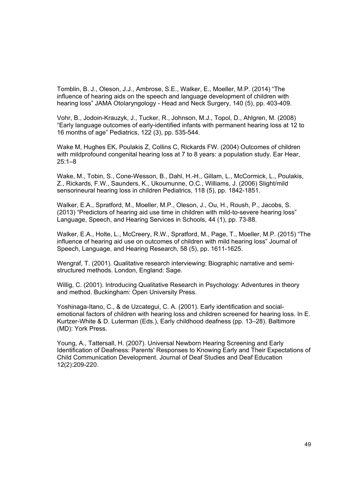Tomblin, B. J., Oleson, J.J., Ambrose, S.E., Walker, E., Moeller, M.P. (2014) "The influence of hearing aids on the speech and language development of children with hearing loss" JAMA Otolaryngology - Head and Neck Surgery, 140 (5), pp. 403-409.

Vohr, B., Jodoin-Krauzyk, J., Tucker, R., Johnson, M.J., Topol, D., Ahlgren, M. (2008) "Early language outcomes of early-identified infants with permanent hearing loss at 12 to 16 months of age" Pediatrics, 122 (3), pp. 535-544.

Wake M, Hughes EK, Poulakis Z, Collins C, Rickards FW. (2004) Outcomes of children with mildprofound congenital hearing loss at 7 to 8 years: a population study. Ear Hear, 25:1–8

Wake, M., Tobin, S., Cone-Wesson, B., Dahl, H.-H., Gillam, L., McCormick, L., Poulakis, Z., Rickards, F.W., Saunders, K., Ukoumunne, O.C., Williams, J. (2006) Slight/mild sensorineural hearing loss in children Pediatrics, 118 (5), pp. 1842-1851.

Walker, E.A., Spratford, M., Moeller, M.P., Oleson, J., Ou, H., Roush, P., Jacobs, S. (2013) "Predictors of hearing aid use time in children with mild-to-severe hearing loss" Language, Speech, and Hearing Services in Schools, 44 (1), pp. 73-88.

Walker, E.A., Holte, L., McCreery, R.W., Spratford, M., Page, T., Moeller, M.P. (2015) "The influence of hearing aid use on outcomes of children with mild hearing loss" Journal of Speech, Language, and Hearing Research, 58 (5), pp. 1611-1625.

Wengraf, T. (2001). Qualitative research interviewing: Biographic narrative and semistructured methods. London, England: Sage.

Willig, C. (2001). Introducing Qualitative Research in Psychology: Adventures in theory and method. Buckingham: Open University Press.

Yoshinaga-Itano, C., & de Uzcategui, C. A. (2001). Early identification and socialemotional factors of children with hearing loss and children screened for hearing loss. In E. Kurtzer-White & D. Luterman (Eds.), Early childhood deafness (pp. 13–28). Baltimore (MD): York Press.

Young, A., Tattersall, H. (2007). Universal Newborn Hearing Screening and Early Identification of Deafness: Parents' Responses to Knowing Early and Their Expectations of Child Communication Development. Journal of Deaf Studies and Deaf Education 12(2):209-220.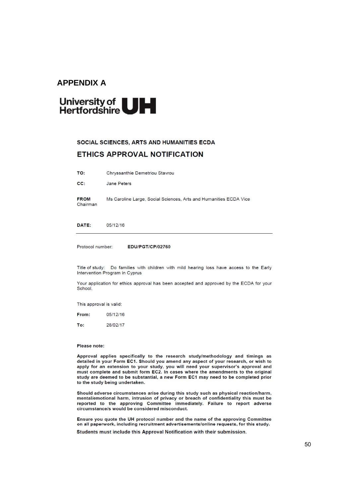#### **APPENDIX A**

# University of UH

#### SOCIAL SCIENCES, ARTS AND HUMANITIES ECDA

#### **ETHICS APPROVAL NOTIFICATION**

|  | TO: | Chryssanthie Demetriou Stavrou |
|--|-----|--------------------------------|
|--|-----|--------------------------------|

CC: Jane Peters

**FROM** Ms Caroline Large, Social Sciences, Arts and Humanities ECDA Vice Chairman

DATE: 05/12/16

Protocol number: **EDU/PGT/CP/02760** 

Title of study: Do families with children with mild hearing loss have access to the Early Intervention Program in Cyprus

Your application for ethics approval has been accepted and approved by the ECDA for your School.

This approval is valid:

| From: | 05/12/16 |
|-------|----------|
|-------|----------|

To: 28/02/17

#### Please note:

Approval applies specifically to the research study/methodology and timings as detailed in your Form EC1. Should you amend any aspect of your research, or wish to apply for an extension to your study, you will need your supervisor's approval and must complete and submit form EC2. In cases where the amendments to the original study are deemed to be substantial, a new Form EC1 may need to be completed prior to the study being undertaken.

Should adverse circumstances arise during this study such as physical reaction/harm, mental/emotional harm, intrusion of privacy or breach of confidentiality this must be reported to the approving Committee immediately. Failure to report adverse circumstance/s would be considered misconduct.

Ensure you quote the UH protocol number and the name of the approving Committee on all paperwork, including recruitment advertisements/online requests, for this study.

Students must include this Approval Notification with their submission.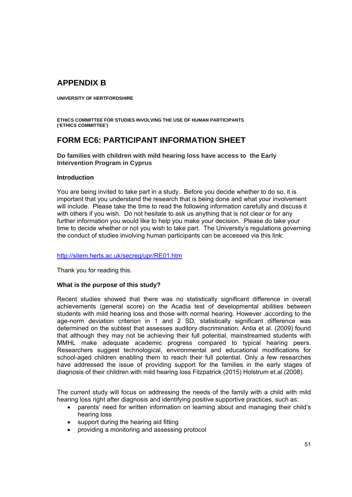# **APPENDIX B**

**UNIVERSITY OF HERTFORDSHIRE** 

**ETHICS COMMITTEE FOR STUDIES INVOLVING THE USE OF HUMAN PARTICIPANTS ('ETHICS COMMITTEE')** 

# **FORM EC6: PARTICIPANT INFORMATION SHEET**

**Do families with children with mild hearing loss have access to the Early Intervention Program in Cyprus** 

#### **Introduction**

You are being invited to take part in a study. Before you decide whether to do so, it is important that you understand the research that is being done and what your involvement will include. Please take the time to read the following information carefully and discuss it with others if you wish. Do not hesitate to ask us anything that is not clear or for any further information you would like to help you make your decision. Please do take your time to decide whether or not you wish to take part. The University's regulations governing the conduct of studies involving human participants can be accessed via this link:

#### http://sitem.herts.ac.uk/secreg/upr/RE01.htm

Thank you for reading this.

#### **What is the purpose of this study?**

Recent studies showed that there was no statistically significant difference in overall achievements (general score) on the Acadia test of developmental abilities between students with mild hearing loss and those with normal hearing. However .according to the age-norm deviation criterion in 1 and 2 SD, statistically significant difference was determined on the subtest that assesses auditory discrimination. Antia et al. (2009) found that although they may not be achieving their full potential, mainstreamed students with MMHL make adequate academic progress compared to typical hearing peers. Researchers suggest technological, environmental and educational modifications for school-aged children enabling them to reach their full potential. Only a few researches have addressed the issue of providing support for the families in the early stages of diagnosis of their children with mild hearing loss Fitzpatrick (2015) Holstrum et.al.(2008).

The current study will focus on addressing the needs of the family with a child with mild hearing loss right after diagnosis and identifying positive supportive practices, such as:

- parents' need for written information on learning about and managing their child's hearing loss
- support during the hearing aid fitting
- providing a monitoring and assessing protocol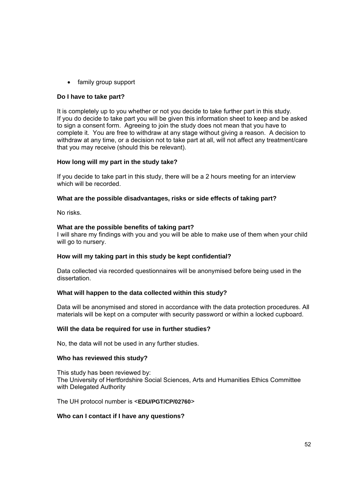• family group support

#### **Do I have to take part?**

It is completely up to you whether or not you decide to take further part in this study. If you do decide to take part you will be given this information sheet to keep and be asked to sign a consent form. Agreeing to join the study does not mean that you have to complete it. You are free to withdraw at any stage without giving a reason. A decision to withdraw at any time, or a decision not to take part at all, will not affect any treatment/care that you may receive (should this be relevant).

#### **How long will my part in the study take?**

If you decide to take part in this study, there will be a 2 hours meeting for an interview which will be recorded.

#### **What are the possible disadvantages, risks or side effects of taking part?**

No risks.

#### **What are the possible benefits of taking part?**

I will share my findings with you and you will be able to make use of them when your child will go to nursery.

#### **How will my taking part in this study be kept confidential?**

Data collected via recorded questionnaires will be anonymised before being used in the dissertation.

#### **What will happen to the data collected within this study?**

Data will be anonymised and stored in accordance with the data protection procedures. All materials will be kept on a computer with security password or within a locked cupboard.

#### **Will the data be required for use in further studies?**

No, the data will not be used in any further studies.

#### **Who has reviewed this study?**

This study has been reviewed by: The University of Hertfordshire Social Sciences, Arts and Humanities Ethics Committee with Delegated Authority

The UH protocol number is <**EDU/PGT/CP/02760***>* 

#### **Who can I contact if I have any questions?**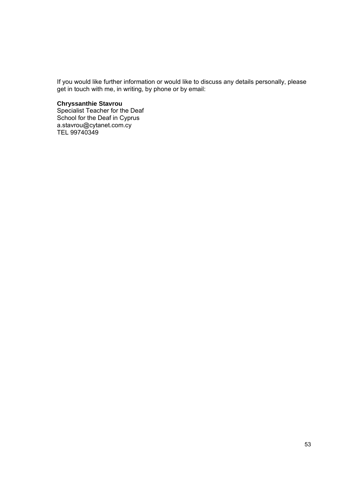If you would like further information or would like to discuss any details personally, please get in touch with me, in writing, by phone or by email:

#### **Chryssanthie Stavrou**

Specialist Teacher for the Deaf School for the Deaf in Cyprus a.stavrou@cytanet.com.cy TEL 99740349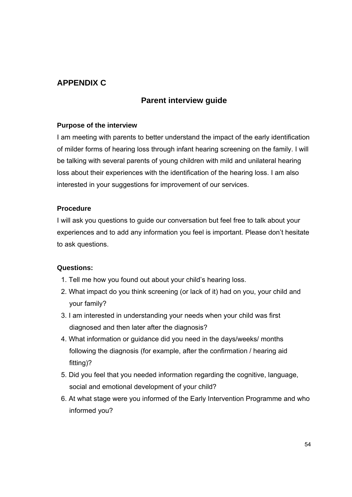# **APPENDIX C**

# **Parent interview guide**

#### **Purpose of the interview**

I am meeting with parents to better understand the impact of the early identification of milder forms of hearing loss through infant hearing screening on the family. I will be talking with several parents of young children with mild and unilateral hearing loss about their experiences with the identification of the hearing loss. I am also interested in your suggestions for improvement of our services.

#### **Procedure**

I will ask you questions to guide our conversation but feel free to talk about your experiences and to add any information you feel is important. Please don't hesitate to ask questions.

#### **Questions:**

- 1. Tell me how you found out about your child's hearing loss.
- 2. What impact do you think screening (or lack of it) had on you, your child and your family?
- 3. I am interested in understanding your needs when your child was first diagnosed and then later after the diagnosis?
- 4. What information or guidance did you need in the days/weeks/ months following the diagnosis (for example, after the confirmation / hearing aid fitting)?
- 5. Did you feel that you needed information regarding the cognitive, language, social and emotional development of your child?
- 6. At what stage were you informed of the Early Intervention Programme and who informed you?